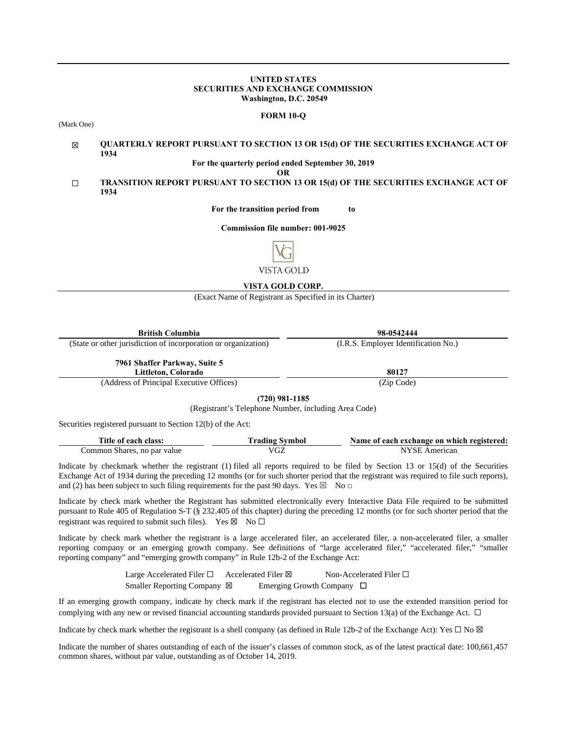#### **UNITED STATES SECURITIES AND EXCHANGE COMMISSION Washington, D.C. 20549**

#### **FORM 10-Q**

(Mark One)

#### ☒ **QUARTERLY REPORT PURSUANT TO SECTION 13 OR 15(d) OF THE SECURITIES EXCHANGE ACT OF 1934**

**For the quarterly period ended September 30, 2019**

**OR**

☐ **TRANSITION REPORT PURSUANT TO SECTION 13 OR 15(d) OF THE SECURITIES EXCHANGE ACT OF 1934**

**For the transition period from to**

**Commission file number: 001-9025**



**VISTA GOLD CORP.** 

(Exact Name of Registrant as Specified in its Charter)

| <b>British Columbia</b>                                        | 98-0542444                           |  |  |  |  |  |
|----------------------------------------------------------------|--------------------------------------|--|--|--|--|--|
| (State or other jurisdiction of incorporation or organization) | (I.R.S. Employer Identification No.) |  |  |  |  |  |
| 7961 Shaffer Parkway, Suite 5<br>Littleton, Colorado           | 80127                                |  |  |  |  |  |
| (Address of Principal Executive Offices)                       | (Zip Code)                           |  |  |  |  |  |
| $(720)$ 001 1105                                               |                                      |  |  |  |  |  |

**(720) 981-1185**

(Registrant's Telephone Number, including Area Code)

Securities registered pursuant to Section 12(b) of the Act:

| Title of each class:        | <b>Trading Symbol</b> | Name of each exchange on which registered: |
|-----------------------------|-----------------------|--------------------------------------------|
| Common Shares, no par value | /GZ                   | NYSE<br>American                           |

Indicate by checkmark whether the registrant (1) filed all reports required to be filed by Section 13 or 15(d) of the Securities Exchange Act of 1934 during the preceding 12 months (or for such shorter period that the registrant was required to file such reports), and (2) has been subject to such filing requirements for the past 90 days. Yes  $\boxtimes$  No  $\Box$ 

Indicate by check mark whether the Registrant has submitted electronically every Interactive Data File required to be submitted pursuant to Rule 405 of Regulation S-T (§ 232.405 of this chapter) during the preceding 12 months (or for such shorter period that the registrant was required to submit such files). Yes  $\boxtimes$  No  $\Box$ 

Indicate by check mark whether the registrant is a large accelerated filer, an accelerated filer, a non-accelerated filer, a smaller reporting company or an emerging growth company. See definitions of "large accelerated filer," "accelerated filer," "smaller reporting company" and "emerging growth company" in Rule 12b-2 of the Exchange Act:

> Large Accelerated Filer □ Accelerated Filer ⊠ Non-Accelerated Filer □ Smaller Reporting Company ⊠ Emerging Growth Company □

If an emerging growth company, indicate by check mark if the registrant has elected not to use the extended transition period for complying with any new or revised financial accounting standards provided pursuant to Section 13(a) of the Exchange Act.  $\Box$ 

Indicate by check mark whether the registrant is a shell company (as defined in Rule 12b-2 of the Exchange Act): Yes  $\Box$  No  $\boxtimes$ 

Indicate the number of shares outstanding of each of the issuer's classes of common stock, as of the latest practical date: 100,661,457 common shares, without par value, outstanding as of October 14, 2019.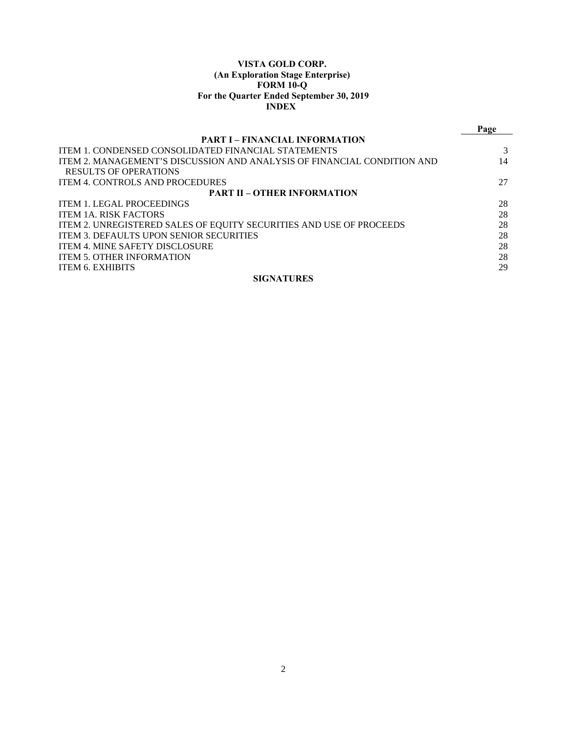## **VISTA GOLD CORP. (An Exploration Stage Enterprise) FORM 10-Q For the Quarter Ended September 30, 2019 INDEX**

|                                                                         | Page |
|-------------------------------------------------------------------------|------|
| <b>PART I – FINANCIAL INFORMATION</b>                                   |      |
| <b>ITEM 1. CONDENSED CONSOLIDATED FINANCIAL STATEMENTS</b>              |      |
| ITEM 2. MANAGEMENT'S DISCUSSION AND ANALYSIS OF FINANCIAL CONDITION AND | 14   |
| RESULTS OF OPERATIONS                                                   |      |
| <b>ITEM 4. CONTROLS AND PROCEDURES</b>                                  | 27   |
| <b>PART II – OTHER INFORMATION</b>                                      |      |
| <b>ITEM 1. LEGAL PROCEEDINGS</b>                                        | 28   |
| <b>ITEM 1A. RISK FACTORS</b>                                            | 28   |
| ITEM 2. UNREGISTERED SALES OF EQUITY SECURITIES AND USE OF PROCEEDS     | 28   |
| <b>ITEM 3. DEFAULTS UPON SENIOR SECURITIES</b>                          | 28   |
| <b>ITEM 4. MINE SAFETY DISCLOSURE</b>                                   | 28   |
| <b>ITEM 5. OTHER INFORMATION</b>                                        | 28   |
| <b>ITEM 6. EXHIBITS</b>                                                 | 29   |
| <b>SIGNATURES</b>                                                       |      |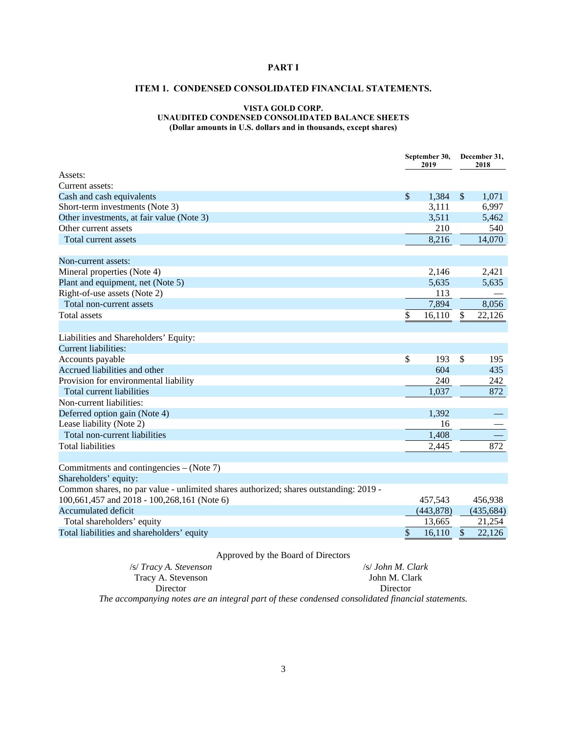## **PART I**

## **ITEM 1. CONDENSED CONSOLIDATED FINANCIAL STATEMENTS.**

## **VISTA GOLD CORP. UNAUDITED CONDENSED CONSOLIDATED BALANCE SHEETS (Dollar amounts in U.S. dollars and in thousands, except shares)**

|                                                                                       | September 30,<br>2019 |                           | December 31,<br>2018 |
|---------------------------------------------------------------------------------------|-----------------------|---------------------------|----------------------|
| Assets:                                                                               |                       |                           |                      |
| Current assets:                                                                       |                       |                           |                      |
| Cash and cash equivalents                                                             | \$<br>1,384           | $\boldsymbol{\mathsf{S}}$ | 1,071                |
| Short-term investments (Note 3)                                                       | 3,111                 |                           | 6,997                |
| Other investments, at fair value (Note 3)                                             | 3,511                 |                           | 5,462                |
| Other current assets                                                                  | 210                   |                           | 540                  |
| Total current assets                                                                  | 8,216                 |                           | 14,070               |
| Non-current assets:                                                                   |                       |                           |                      |
| Mineral properties (Note 4)                                                           | 2,146                 |                           | 2,421                |
| Plant and equipment, net (Note 5)                                                     | 5,635                 |                           | 5,635                |
| Right-of-use assets (Note 2)                                                          | 113                   |                           |                      |
| Total non-current assets                                                              | 7,894                 |                           | 8,056                |
| Total assets                                                                          | \$<br>16,110          | \$                        | 22,126               |
|                                                                                       |                       |                           |                      |
| Liabilities and Shareholders' Equity:                                                 |                       |                           |                      |
| Current liabilities:                                                                  |                       |                           |                      |
| Accounts payable                                                                      | \$<br>193             | \$                        | 195                  |
| Accrued liabilities and other                                                         | 604                   |                           | 435                  |
| Provision for environmental liability                                                 | 240                   |                           | 242                  |
| <b>Total current liabilities</b>                                                      | 1,037                 |                           | 872                  |
| Non-current liabilities:                                                              |                       |                           |                      |
| Deferred option gain (Note 4)                                                         | 1,392                 |                           |                      |
| Lease liability (Note 2)                                                              | 16                    |                           |                      |
| Total non-current liabilities                                                         | 1,408                 |                           |                      |
| <b>Total liabilities</b>                                                              | 2,445                 |                           | 872                  |
| Commitments and contingencies – (Note 7)                                              |                       |                           |                      |
| Shareholders' equity:                                                                 |                       |                           |                      |
| Common shares, no par value - unlimited shares authorized; shares outstanding: 2019 - |                       |                           |                      |
| 100,661,457 and 2018 - 100,268,161 (Note 6)                                           | 457,543               |                           | 456,938              |
| <b>Accumulated deficit</b>                                                            | (443, 878)            |                           | (435, 684)           |
| Total shareholders' equity                                                            | 13,665                |                           | 21,254               |
| Total liabilities and shareholders' equity                                            | \$<br>16,110          | $\$\,$                    | 22,126               |

## Approved by the Board of Directors

| /s/ Tracy A. Stevenson |  |  | /s/ John M. Clark |
|------------------------|--|--|-------------------|
| Tracy A. Stevenson     |  |  | John M. Clark     |
| Director               |  |  | Director          |
|                        |  |  |                   |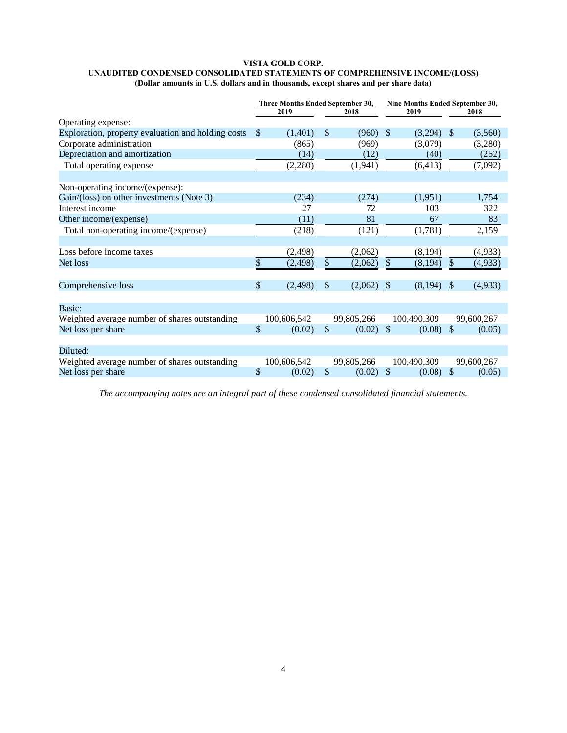#### **VISTA GOLD CORP. UNAUDITED CONDENSED CONSOLIDATED STATEMENTS OF COMPREHENSIVE INCOME/(LOSS) (Dollar amounts in U.S. dollars and in thousands, except shares and per share data)**

|                                                    | Three Months Ended September 30, |              |               | Nine Months Ended September 30, |               |             |               |            |
|----------------------------------------------------|----------------------------------|--------------|---------------|---------------------------------|---------------|-------------|---------------|------------|
|                                                    |                                  | 2019<br>2018 |               | 2019                            |               |             | 2018          |            |
| Operating expense:                                 |                                  |              |               |                                 |               |             |               |            |
| Exploration, property evaluation and holding costs | \$                               | (1,401)      | \$            | (960)                           | $\mathcal{S}$ | (3,294)     | -S            | (3,560)    |
| Corporate administration                           |                                  | (865)        |               | (969)                           |               | (3,079)     |               | (3,280)    |
| Depreciation and amortization                      |                                  | (14)         |               | (12)                            |               | (40)        |               | (252)      |
| Total operating expense                            |                                  | (2,280)      |               | (1,941)                         |               | (6, 413)    |               | (7,092)    |
|                                                    |                                  |              |               |                                 |               |             |               |            |
| Non-operating income/(expense):                    |                                  |              |               |                                 |               |             |               |            |
| Gain/(loss) on other investments (Note 3)          |                                  | (234)        |               | (274)                           |               | (1,951)     |               | 1,754      |
| Interest income                                    |                                  | 27           |               | 72                              |               | 103         |               | 322        |
| Other income/(expense)                             |                                  | (11)         |               | 81                              |               | 67          |               | 83         |
| Total non-operating income/(expense)               |                                  | (218)        |               | (121)                           |               | (1,781)     |               | 2,159      |
|                                                    |                                  |              |               |                                 |               |             |               |            |
| Loss before income taxes                           |                                  | (2, 498)     |               | (2,062)                         |               | (8, 194)    |               | (4,933)    |
| Net loss                                           | \$                               | (2, 498)     | \$            | (2,062)                         | $\mathcal{S}$ | (8,194)     | $\mathcal{S}$ | (4,933)    |
|                                                    |                                  |              |               |                                 |               |             |               |            |
| Comprehensive loss                                 | \$                               | (2, 498)     | \$            | (2,062)                         | \$            | (8,194)     | \$            | (4,933)    |
|                                                    |                                  |              |               |                                 |               |             |               |            |
| Basic:                                             |                                  |              |               |                                 |               |             |               |            |
| Weighted average number of shares outstanding      |                                  | 100,606,542  |               | 99,805,266                      |               | 100,490,309 |               | 99,600,267 |
| Net loss per share                                 | \$                               | (0.02)       | $\mathcal{S}$ | (0.02)                          | $\mathcal{S}$ | (0.08)      | $\mathcal{S}$ | (0.05)     |
|                                                    |                                  |              |               |                                 |               |             |               |            |
| Diluted:                                           |                                  |              |               |                                 |               |             |               |            |
| Weighted average number of shares outstanding      |                                  | 100,606,542  |               | 99,805,266                      |               | 100,490,309 |               | 99,600,267 |
| Net loss per share                                 | \$                               | (0.02)       | \$            | (0.02)                          | $\mathcal{S}$ | (0.08)      | $\mathcal{S}$ | (0.05)     |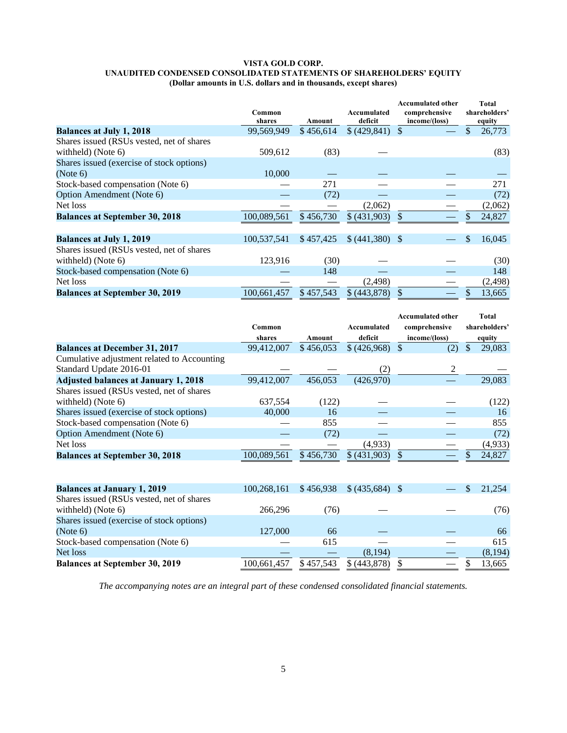#### **VISTA GOLD CORP. UNAUDITED CONDENSED CONSOLIDATED STATEMENTS OF SHAREHOLDERS' EQUITY (Dollar amounts in U.S. dollars and in thousands, except shares)**

|                                           | Common<br>shares | Amount    | Accumulated<br>deficit | <b>Accumulated other</b><br>comprehensive<br>income/(loss) | <b>Total</b><br>shareholders'<br>equity |
|-------------------------------------------|------------------|-----------|------------------------|------------------------------------------------------------|-----------------------------------------|
| <b>Balances at July 1, 2018</b>           | 99,569,949       | \$456,614 | \$ (429, 841)          | -\$                                                        | \$<br>26,773                            |
| Shares issued (RSUs vested, net of shares |                  |           |                        |                                                            |                                         |
| withheld) (Note $6$ )                     | 509,612          | (83)      |                        |                                                            | (83)                                    |
| Shares issued (exercise of stock options) |                  |           |                        |                                                            |                                         |
| (Note 6)                                  | 10,000           |           |                        |                                                            |                                         |
| Stock-based compensation (Note 6)         |                  | 271       |                        |                                                            | 271                                     |
| Option Amendment (Note 6)                 |                  | (72)      |                        |                                                            | (72)                                    |
| Net loss                                  |                  |           | (2,062)                |                                                            | (2,062)                                 |
| <b>Balances at September 30, 2018</b>     | 100,089,561      | \$456,730 | \$ (431,903)           | \$                                                         | 24,827                                  |
|                                           |                  |           |                        |                                                            |                                         |
| <b>Balances at July 1, 2019</b>           | 100,537,541      | \$457,425 | \$ (441,380)           | - \$                                                       | 16,045<br>\$                            |
| Shares issued (RSUs vested, net of shares |                  |           |                        |                                                            |                                         |
| withheld) (Note $6$ )                     | 123,916          | (30)      |                        |                                                            | (30)                                    |
| Stock-based compensation (Note 6)         |                  | 148       |                        |                                                            | 148                                     |
| Net loss                                  |                  |           | (2, 498)               |                                                            | (2, 498)                                |
| <b>Balances at September 30, 2019</b>     | 100,661,457      | \$457,543 | \$ (443,878)           |                                                            | 13,665                                  |

|                                             |             |           |             | <b>Accumulated other</b> | Total         |
|---------------------------------------------|-------------|-----------|-------------|--------------------------|---------------|
|                                             | Common      |           | Accumulated | comprehensive            | shareholders' |
|                                             | shares      | Amount    | deficit     | income/(loss)            | equity        |
| <b>Balances at December 31, 2017</b>        | 99.412,007  | \$456,053 | \$(426,968) | (2)                      | 29,083<br>S   |
| Cumulative adjustment related to Accounting |             |           |             |                          |               |
| Standard Update 2016-01                     |             |           | (2)         | 2                        |               |
| <b>Adjusted balances at January 1, 2018</b> | 99,412,007  | 456,053   | (426,970)   |                          | 29,083        |
| Shares issued (RSUs vested, net of shares   |             |           |             |                          |               |
| withheld) (Note $6$ )                       | 637,554     | (122)     |             |                          | (122)         |
| Shares issued (exercise of stock options)   | 40,000      | 16        |             |                          | 16            |
| Stock-based compensation (Note 6)           |             | 855       |             |                          | 855           |
| Option Amendment (Note 6)                   |             | (72)      |             |                          | (72)          |
| Net loss                                    |             |           | (4,933)     |                          | (4,933)       |
| <b>Balances at September 30, 2018</b>       | 100,089,561 | \$456,730 | \$(431,903) |                          | 24,827        |
|                                             |             |           |             |                          |               |
|                                             |             |           |             |                          |               |

| <b>Balances at January 1, 2019</b>        | 100,268,161 | \$456,938 | $$ (435,684)$ \; |  | 21,254  |
|-------------------------------------------|-------------|-----------|------------------|--|---------|
| Shares issued (RSUs vested, net of shares |             |           |                  |  |         |
| withheld) (Note $6$ )                     | 266.296     | 76)       |                  |  | (76)    |
| Shares issued (exercise of stock options) |             |           |                  |  |         |
| (Note 6)                                  | 127,000     | 66        |                  |  | 66      |
| Stock-based compensation (Note 6)         |             | 615       |                  |  | 615     |
| Net loss                                  |             |           | (8,194)          |  | (8,194) |
| <b>Balances at September 30, 2019</b>     | 100,661,457 | \$457,543 | \$ (443,878)     |  | 13,665  |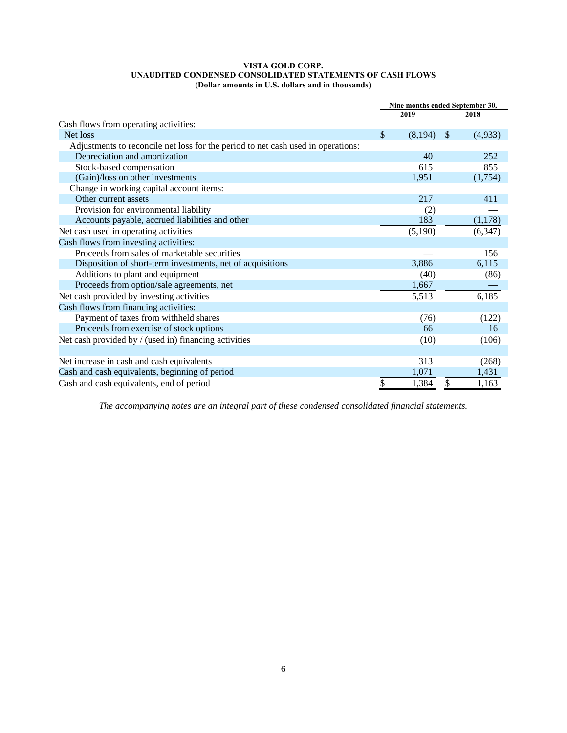#### **VISTA GOLD CORP. UNAUDITED CONDENSED CONSOLIDATED STATEMENTS OF CASH FLOWS (Dollar amounts in U.S. dollars and in thousands)**

|                                                                                  | Nine months ended September 30, |         |              |         |
|----------------------------------------------------------------------------------|---------------------------------|---------|--------------|---------|
|                                                                                  |                                 | 2019    |              | 2018    |
| Cash flows from operating activities:                                            |                                 |         |              |         |
| Net loss                                                                         | \$                              | (8,194) | <sup>S</sup> | (4,933) |
| Adjustments to reconcile net loss for the period to net cash used in operations: |                                 |         |              |         |
| Depreciation and amortization                                                    |                                 | 40      |              | 252     |
| Stock-based compensation                                                         |                                 | 615     |              | 855     |
| (Gain)/loss on other investments                                                 |                                 | 1,951   |              | (1,754) |
| Change in working capital account items:                                         |                                 |         |              |         |
| Other current assets                                                             |                                 | 217     |              | 411     |
| Provision for environmental liability                                            |                                 | (2)     |              |         |
| Accounts payable, accrued liabilities and other                                  |                                 | 183     |              | (1,178) |
| Net cash used in operating activities                                            |                                 | (5,190) |              | (6,347) |
| Cash flows from investing activities:                                            |                                 |         |              |         |
| Proceeds from sales of marketable securities                                     |                                 |         |              | 156     |
| Disposition of short-term investments, net of acquisitions                       |                                 | 3,886   |              | 6,115   |
| Additions to plant and equipment                                                 |                                 | (40)    |              | (86)    |
| Proceeds from option/sale agreements, net                                        |                                 | 1,667   |              |         |
| Net cash provided by investing activities                                        |                                 | 5,513   |              | 6,185   |
| Cash flows from financing activities:                                            |                                 |         |              |         |
| Payment of taxes from withheld shares                                            |                                 | (76)    |              | (122)   |
| Proceeds from exercise of stock options                                          |                                 | 66      |              | 16      |
| Net cash provided by / (used in) financing activities                            |                                 | (10)    |              | (106)   |
|                                                                                  |                                 |         |              |         |
| Net increase in cash and cash equivalents                                        |                                 | 313     |              | (268)   |
| Cash and cash equivalents, beginning of period                                   |                                 | 1,071   |              | 1,431   |
| Cash and cash equivalents, end of period                                         | \$                              | 1,384   | \$           | 1,163   |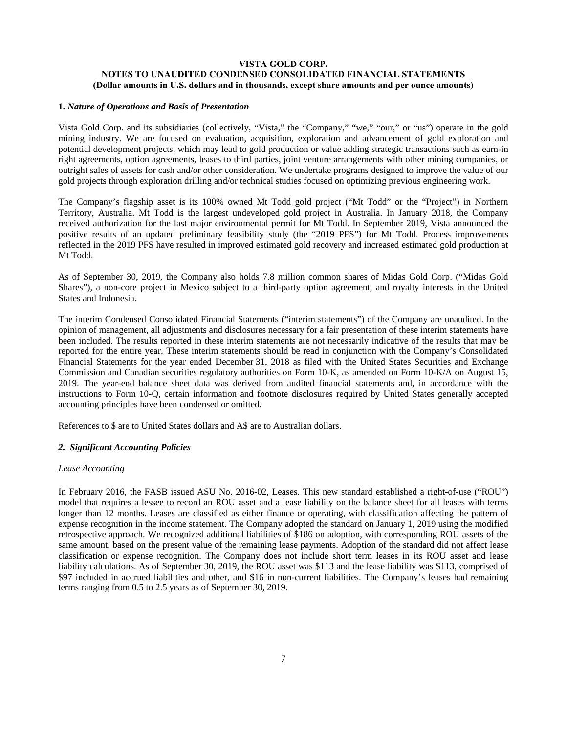## **VISTA GOLD CORP. NOTES TO UNAUDITED CONDENSED CONSOLIDATED FINANCIAL STATEMENTS (Dollar amounts in U.S. dollars and in thousands, except share amounts and per ounce amounts)**

## **1.** *Nature of Operations and Basis of Presentation*

Vista Gold Corp. and its subsidiaries (collectively, "Vista," the "Company," "we," "our," or "us") operate in the gold mining industry. We are focused on evaluation, acquisition, exploration and advancement of gold exploration and potential development projects, which may lead to gold production or value adding strategic transactions such as earn-in right agreements, option agreements, leases to third parties, joint venture arrangements with other mining companies, or outright sales of assets for cash and/or other consideration. We undertake programs designed to improve the value of our gold projects through exploration drilling and/or technical studies focused on optimizing previous engineering work.

The Company's flagship asset is its 100% owned Mt Todd gold project ("Mt Todd" or the "Project") in Northern Territory, Australia. Mt Todd is the largest undeveloped gold project in Australia. In January 2018, the Company received authorization for the last major environmental permit for Mt Todd. In September 2019, Vista announced the positive results of an updated preliminary feasibility study (the "2019 PFS") for Mt Todd. Process improvements reflected in the 2019 PFS have resulted in improved estimated gold recovery and increased estimated gold production at Mt Todd.

As of September 30, 2019, the Company also holds 7.8 million common shares of Midas Gold Corp. ("Midas Gold Shares"), a non-core project in Mexico subject to a third-party option agreement, and royalty interests in the United States and Indonesia.

The interim Condensed Consolidated Financial Statements ("interim statements") of the Company are unaudited. In the opinion of management, all adjustments and disclosures necessary for a fair presentation of these interim statements have been included. The results reported in these interim statements are not necessarily indicative of the results that may be reported for the entire year. These interim statements should be read in conjunction with the Company's Consolidated Financial Statements for the year ended December 31, 2018 as filed with the United States Securities and Exchange Commission and Canadian securities regulatory authorities on Form 10-K, as amended on Form 10-K/A on August 15, 2019. The year-end balance sheet data was derived from audited financial statements and, in accordance with the instructions to Form 10-Q, certain information and footnote disclosures required by United States generally accepted accounting principles have been condensed or omitted.

References to \$ are to United States dollars and A\$ are to Australian dollars.

#### *2. Significant Accounting Policies*

#### *Lease Accounting*

In February 2016, the FASB issued ASU No. 2016-02, Leases. This new standard established a right-of-use ("ROU") model that requires a lessee to record an ROU asset and a lease liability on the balance sheet for all leases with terms longer than 12 months. Leases are classified as either finance or operating, with classification affecting the pattern of expense recognition in the income statement. The Company adopted the standard on January 1, 2019 using the modified retrospective approach. We recognized additional liabilities of \$186 on adoption, with corresponding ROU assets of the same amount, based on the present value of the remaining lease payments. Adoption of the standard did not affect lease classification or expense recognition. The Company does not include short term leases in its ROU asset and lease liability calculations. As of September 30, 2019, the ROU asset was \$113 and the lease liability was \$113, comprised of \$97 included in accrued liabilities and other, and \$16 in non-current liabilities. The Company's leases had remaining terms ranging from 0.5 to 2.5 years as of September 30, 2019.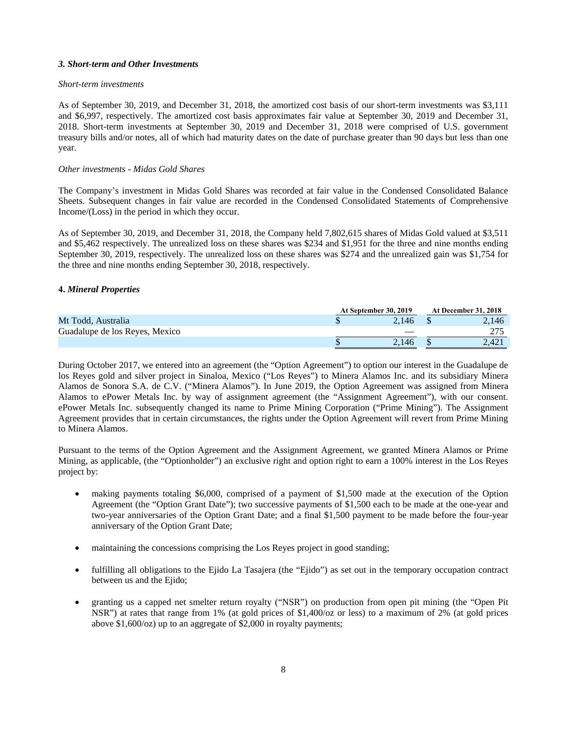## *3. Short-term and Other Investments*

## *Short-term investments*

As of September 30, 2019, and December 31, 2018, the amortized cost basis of our short-term investments was \$3,111 and \$6,997, respectively. The amortized cost basis approximates fair value at September 30, 2019 and December 31, 2018. Short-term investments at September 30, 2019 and December 31, 2018 were comprised of U.S. government treasury bills and/or notes, all of which had maturity dates on the date of purchase greater than 90 days but less than one year.

## *Other investments - Midas Gold Shares*

The Company's investment in Midas Gold Shares was recorded at fair value in the Condensed Consolidated Balance Sheets. Subsequent changes in fair value are recorded in the Condensed Consolidated Statements of Comprehensive Income/(Loss) in the period in which they occur.

As of September 30, 2019, and December 31, 2018, the Company held 7,802,615 shares of Midas Gold valued at \$3,511 and \$5,462 respectively. The unrealized loss on these shares was \$234 and \$1,951 for the three and nine months ending September 30, 2019, respectively. The unrealized loss on these shares was \$274 and the unrealized gain was \$1,754 for the three and nine months ending September 30, 2018, respectively.

## **4.** *Mineral Properties*

|                                | At September 30, 2019 |  |       |
|--------------------------------|-----------------------|--|-------|
| Mt Todd, Australia             | 2.146                 |  | 2.146 |
| Guadalupe de los Reves, Mexico |                       |  |       |
|                                | 2.146                 |  | 2.421 |

During October 2017, we entered into an agreement (the "Option Agreement") to option our interest in the Guadalupe de los Reyes gold and silver project in Sinaloa, Mexico ("Los Reyes") to Minera Alamos Inc. and its subsidiary Minera Alamos de Sonora S.A. de C.V. ("Minera Alamos"). In June 2019, the Option Agreement was assigned from Minera Alamos to ePower Metals Inc. by way of assignment agreement (the "Assignment Agreement"), with our consent. ePower Metals Inc. subsequently changed its name to Prime Mining Corporation ("Prime Mining"). The Assignment Agreement provides that in certain circumstances, the rights under the Option Agreement will revert from Prime Mining to Minera Alamos.

Pursuant to the terms of the Option Agreement and the Assignment Agreement, we granted Minera Alamos or Prime Mining, as applicable, (the "Optionholder") an exclusive right and option right to earn a 100% interest in the Los Reyes project by:

- making payments totaling \$6,000, comprised of a payment of \$1,500 made at the execution of the Option Agreement (the "Option Grant Date"); two successive payments of \$1,500 each to be made at the one-year and two-year anniversaries of the Option Grant Date; and a final \$1,500 payment to be made before the four-year anniversary of the Option Grant Date;
- maintaining the concessions comprising the Los Reyes project in good standing;
- fulfilling all obligations to the Ejido La Tasajera (the "Ejido") as set out in the temporary occupation contract between us and the Ejido;
- granting us a capped net smelter return royalty ("NSR") on production from open pit mining (the "Open Pit NSR") at rates that range from 1% (at gold prices of \$1,400/oz or less) to a maximum of 2% (at gold prices above \$1,600/oz) up to an aggregate of \$2,000 in royalty payments;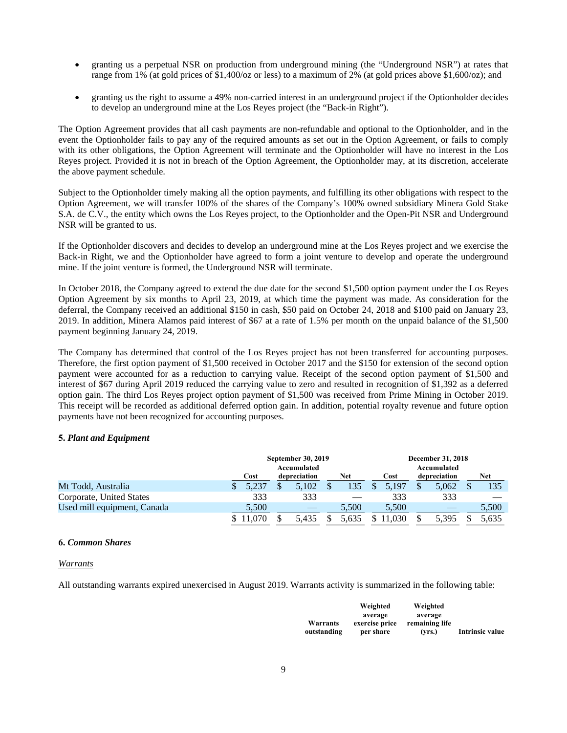- granting us a perpetual NSR on production from underground mining (the "Underground NSR") at rates that range from 1% (at gold prices of \$1,400/oz or less) to a maximum of 2% (at gold prices above \$1,600/oz); and
- granting us the right to assume a 49% non-carried interest in an underground project if the Optionholder decides to develop an underground mine at the Los Reyes project (the "Back-in Right").

The Option Agreement provides that all cash payments are non-refundable and optional to the Optionholder, and in the event the Optionholder fails to pay any of the required amounts as set out in the Option Agreement, or fails to comply with its other obligations, the Option Agreement will terminate and the Optionholder will have no interest in the Los Reyes project. Provided it is not in breach of the Option Agreement, the Optionholder may, at its discretion, accelerate the above payment schedule.

Subject to the Optionholder timely making all the option payments, and fulfilling its other obligations with respect to the Option Agreement, we will transfer 100% of the shares of the Company's 100% owned subsidiary Minera Gold Stake S.A. de C.V., the entity which owns the Los Reyes project, to the Optionholder and the Open-Pit NSR and Underground NSR will be granted to us.

If the Optionholder discovers and decides to develop an underground mine at the Los Reyes project and we exercise the Back-in Right, we and the Optionholder have agreed to form a joint venture to develop and operate the underground mine. If the joint venture is formed, the Underground NSR will terminate.

In October 2018, the Company agreed to extend the due date for the second \$1,500 option payment under the Los Reyes Option Agreement by six months to April 23, 2019, at which time the payment was made. As consideration for the deferral, the Company received an additional \$150 in cash, \$50 paid on October 24, 2018 and \$100 paid on January 23, 2019. In addition, Minera Alamos paid interest of \$67 at a rate of 1.5% per month on the unpaid balance of the \$1,500 payment beginning January 24, 2019.

The Company has determined that control of the Los Reyes project has not been transferred for accounting purposes. Therefore, the first option payment of \$1,500 received in October 2017 and the \$150 for extension of the second option payment were accounted for as a reduction to carrying value. Receipt of the second option payment of \$1,500 and interest of \$67 during April 2019 reduced the carrying value to zero and resulted in recognition of \$1,392 as a deferred option gain. The third Los Reyes project option payment of \$1,500 was received from Prime Mining in October 2019. This receipt will be recorded as additional deferred option gain. In addition, potential royalty revenue and future option payments have not been recognized for accounting purposes.

## **5.** *Plant and Equipment*

|                             |       | September 30, 2019 |       | <b>December 31, 2018</b> |              |       |  |
|-----------------------------|-------|--------------------|-------|--------------------------|--------------|-------|--|
|                             |       | Accumulated        |       | Accumulated              |              |       |  |
|                             | Cost  | depreciation       | Net   | Cost                     | depreciation | Net   |  |
| Mt Todd, Australia          | 5.237 | 5.102              | 135   | 5.197                    | 5.062        | 135   |  |
| Corporate, United States    | 333   | 333                |       | 333                      | 333          |       |  |
| Used mill equipment, Canada | 5,500 |                    | 5.500 | 5.500                    |              | 5,500 |  |
|                             |       | 5.435              |       |                          | 5.395        | 5.635 |  |

#### **6.** *Common Shares*

#### *Warrants*

All outstanding warrants expired unexercised in August 2019. Warrants activity is summarized in the following table:

|             | Weighted       | Weighted       |                 |
|-------------|----------------|----------------|-----------------|
|             | average        | average        |                 |
| Warrants    | exercise price | remaining life |                 |
| outstanding | per share      | (vrs.)         | Intrinsic value |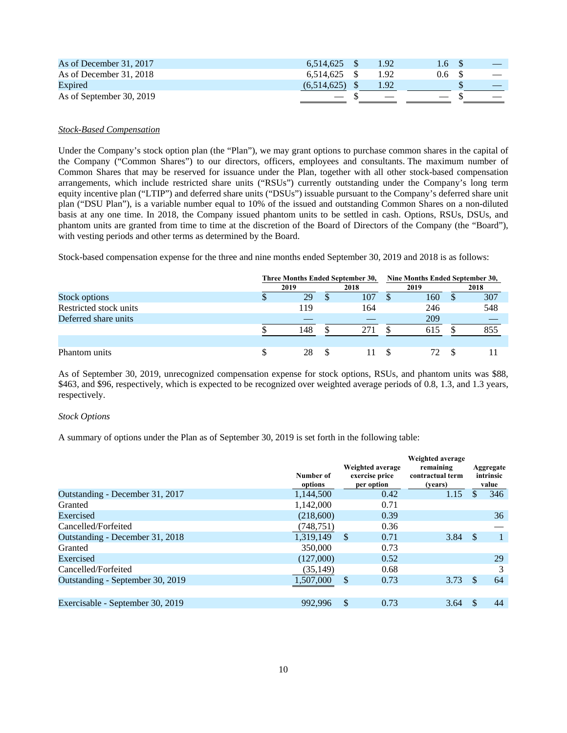| As of December 31, 2017  | 6.514.625   | 1.92 | 1.6 |  |
|--------------------------|-------------|------|-----|--|
| As of December 31, 2018  | 6.514.625   | - 92 | 0.6 |  |
| Expired                  | (6.514.625) |      |     |  |
| As of September 30, 2019 |             |      |     |  |

## *Stock-Based Compensation*

Under the Company's stock option plan (the "Plan"), we may grant options to purchase common shares in the capital of the Company ("Common Shares") to our directors, officers, employees and consultants. The maximum number of Common Shares that may be reserved for issuance under the Plan, together with all other stock-based compensation arrangements, which include restricted share units ("RSUs") currently outstanding under the Company's long term equity incentive plan ("LTIP") and deferred share units ("DSUs") issuable pursuant to the Company's deferred share unit plan ("DSU Plan"), is a variable number equal to 10% of the issued and outstanding Common Shares on a non-diluted basis at any one time. In 2018, the Company issued phantom units to be settled in cash. Options, RSUs, DSUs, and phantom units are granted from time to time at the discretion of the Board of Directors of the Company (the "Board"), with vesting periods and other terms as determined by the Board.

Stock-based compensation expense for the three and nine months ended September 30, 2019 and 2018 is as follows:

|                        |   | Three Months Ended September 30, |      |     |      | Nine Months Ended September 30, |              |      |  |  |
|------------------------|---|----------------------------------|------|-----|------|---------------------------------|--------------|------|--|--|
|                        |   | 2019                             | 2018 |     | 2019 |                                 |              | 2018 |  |  |
| Stock options          | Φ | 29                               |      | 107 |      | 160                             | <sup>S</sup> | 307  |  |  |
| Restricted stock units |   | 119                              |      | 164 |      | 246                             |              | 548  |  |  |
| Deferred share units   |   |                                  |      |     |      | 209                             |              |      |  |  |
|                        |   | 148                              |      | 271 |      | 615                             |              | 855  |  |  |
|                        |   |                                  |      |     |      |                                 |              |      |  |  |
| Phantom units          | S | 28                               |      |     |      |                                 | -S           |      |  |  |

As of September 30, 2019, unrecognized compensation expense for stock options, RSUs, and phantom units was \$88, \$463, and \$96, respectively, which is expected to be recognized over weighted average periods of 0.8, 1.3, and 1.3 years, respectively.

#### *Stock Options*

A summary of options under the Plan as of September 30, 2019 is set forth in the following table:

|                                  | Number of<br>options | Weighted average<br>exercise price<br>per option | Weighted average<br>remaining<br>contractual term<br>(years) |    | Aggregate<br>intrinsic<br>value |
|----------------------------------|----------------------|--------------------------------------------------|--------------------------------------------------------------|----|---------------------------------|
| Outstanding - December 31, 2017  | 1,144,500            | 0.42                                             | 1.15                                                         | S  | 346                             |
| Granted                          | 1,142,000            | 0.71                                             |                                                              |    |                                 |
| Exercised                        | (218,600)            | 0.39                                             |                                                              |    | 36                              |
| Cancelled/Forfeited              | (748,751)            | 0.36                                             |                                                              |    |                                 |
| Outstanding - December 31, 2018  | 1,319,149            | <sup>\$</sup><br>0.71                            | $3.84$ \$                                                    |    |                                 |
| Granted                          | 350,000              | 0.73                                             |                                                              |    |                                 |
| Exercised                        | (127.000)            | 0.52                                             |                                                              |    | 29                              |
| Cancelled/Forfeited              | (35, 149)            | 0.68                                             |                                                              |    | 3                               |
| Outstanding - September 30, 2019 | 1,507,000            | <sup>\$</sup><br>0.73                            | 3.73                                                         | -S | 64                              |
|                                  |                      |                                                  |                                                              |    |                                 |
| Exercisable - September 30, 2019 | 992.996              | <sup>\$</sup><br>0.73                            | 3.64                                                         |    | 44                              |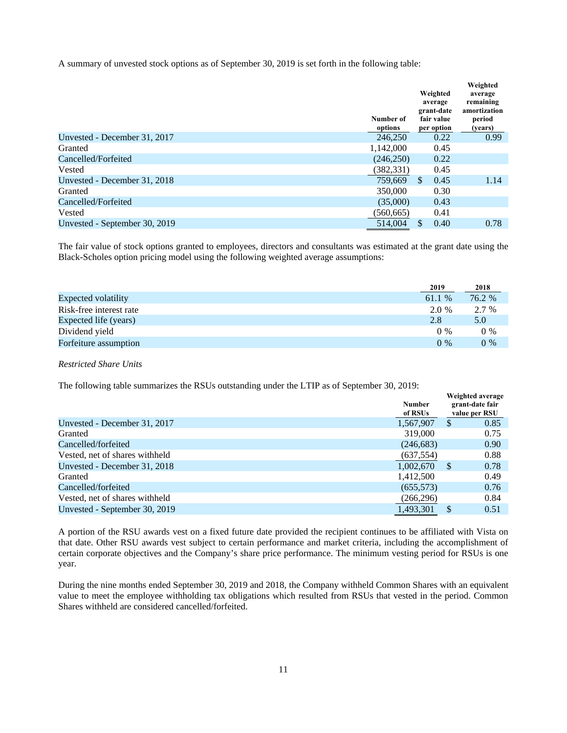A summary of unvested stock options as of September 30, 2019 is set forth in the following table:

|                               | Number of<br>options | Weighted<br>average<br>grant-date<br>fair value<br>per option | Weighted<br>average<br>remaining<br>amortization<br>period<br>(years) |
|-------------------------------|----------------------|---------------------------------------------------------------|-----------------------------------------------------------------------|
| Unvested - December 31, 2017  | 246,250              | 0.22                                                          | 0.99                                                                  |
| Granted                       | 1,142,000            | 0.45                                                          |                                                                       |
| Cancelled/Forfeited           | (246,250)            | 0.22                                                          |                                                                       |
| Vested                        | (382, 331)           | 0.45                                                          |                                                                       |
| Unvested - December 31, 2018  | 759.669              | <sup>\$</sup><br>0.45                                         | 1.14                                                                  |
| Granted                       | 350,000              | 0.30                                                          |                                                                       |
| Cancelled/Forfeited           | (35,000)             | 0.43                                                          |                                                                       |
| Vested                        | (560, 665)           | 0.41                                                          |                                                                       |
| Unvested - September 30, 2019 | 514,004              | 0.40<br>\$.                                                   | 0.78                                                                  |

The fair value of stock options granted to employees, directors and consultants was estimated at the grant date using the Black-Scholes option pricing model using the following weighted average assumptions:

|                         | 2019   | 2018   |
|-------------------------|--------|--------|
| Expected volatility     | 61.1 % | 76.2 % |
| Risk-free interest rate | 2.0 %  | 2.7 %  |
| Expected life (years)   | 2.8    | 5.0    |
| Dividend yield          | $0\%$  | $0\%$  |
| Forfeiture assumption   | $0\%$  | $0\%$  |

*Restricted Share Units* 

The following table summarizes the RSUs outstanding under the LTIP as of September 30, 2019:

|                                | <b>Number</b><br>of RSUs | Weighted average<br>grant-date fair<br>value per RSU |      |
|--------------------------------|--------------------------|------------------------------------------------------|------|
| Unvested - December 31, 2017   | 1,567,907                | S.                                                   | 0.85 |
| Granted                        | 319,000                  |                                                      | 0.75 |
| Cancelled/forfeited            | (246, 683)               |                                                      | 0.90 |
| Vested, net of shares withheld | (637, 554)               |                                                      | 0.88 |
| Unvested - December 31, 2018   | 1.002.670                | -S                                                   | 0.78 |
| Granted                        | 1,412,500                |                                                      | 0.49 |
| Cancelled/forfeited            | (655, 573)               |                                                      | 0.76 |
| Vested, net of shares withheld | (266, 296)               |                                                      | 0.84 |
| Unvested - September 30, 2019  | 1,493,301                |                                                      | 0.51 |

A portion of the RSU awards vest on a fixed future date provided the recipient continues to be affiliated with Vista on that date. Other RSU awards vest subject to certain performance and market criteria, including the accomplishment of certain corporate objectives and the Company's share price performance. The minimum vesting period for RSUs is one year.

During the nine months ended September 30, 2019 and 2018, the Company withheld Common Shares with an equivalent value to meet the employee withholding tax obligations which resulted from RSUs that vested in the period. Common Shares withheld are considered cancelled/forfeited.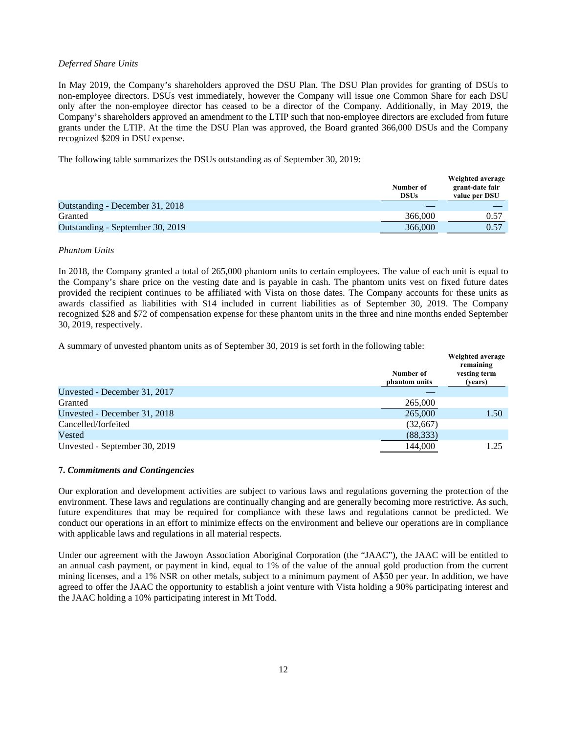## *Deferred Share Units*

In May 2019, the Company's shareholders approved the DSU Plan. The DSU Plan provides for granting of DSUs to non-employee directors. DSUs vest immediately, however the Company will issue one Common Share for each DSU only after the non-employee director has ceased to be a director of the Company. Additionally, in May 2019, the Company's shareholders approved an amendment to the LTIP such that non-employee directors are excluded from future grants under the LTIP. At the time the DSU Plan was approved, the Board granted 366,000 DSUs and the Company recognized \$209 in DSU expense.

The following table summarizes the DSUs outstanding as of September 30, 2019:

|                                  | Number of<br><b>DSUs</b> | Weighted average<br>grant-date fair<br>value per DSU |
|----------------------------------|--------------------------|------------------------------------------------------|
| Outstanding - December 31, 2018  |                          |                                                      |
| Granted                          | 366,000                  | 0.57                                                 |
| Outstanding - September 30, 2019 | 366,000                  | 0.57                                                 |

## *Phantom Units*

In 2018, the Company granted a total of 265,000 phantom units to certain employees. The value of each unit is equal to the Company's share price on the vesting date and is payable in cash. The phantom units vest on fixed future dates provided the recipient continues to be affiliated with Vista on those dates. The Company accounts for these units as awards classified as liabilities with \$14 included in current liabilities as of September 30, 2019. The Company recognized \$28 and \$72 of compensation expense for these phantom units in the three and nine months ended September 30, 2019, respectively.

A summary of unvested phantom units as of September 30, 2019 is set forth in the following table:

|                               | Number of<br>phantom units | Weighted average<br>remaining<br>vesting term<br>(years) |
|-------------------------------|----------------------------|----------------------------------------------------------|
| Unvested - December 31, 2017  |                            |                                                          |
| Granted                       | 265,000                    |                                                          |
| Unvested - December 31, 2018  | 265,000                    | 1.50                                                     |
| Cancelled/forfeited           | (32,667)                   |                                                          |
| Vested                        | (88, 333)                  |                                                          |
| Unvested - September 30, 2019 | 144,000                    | 1.25                                                     |

## **7.** *Commitments and Contingencies*

Our exploration and development activities are subject to various laws and regulations governing the protection of the environment. These laws and regulations are continually changing and are generally becoming more restrictive. As such, future expenditures that may be required for compliance with these laws and regulations cannot be predicted. We conduct our operations in an effort to minimize effects on the environment and believe our operations are in compliance with applicable laws and regulations in all material respects.

Under our agreement with the Jawoyn Association Aboriginal Corporation (the "JAAC"), the JAAC will be entitled to an annual cash payment, or payment in kind, equal to 1% of the value of the annual gold production from the current mining licenses, and a 1% NSR on other metals, subject to a minimum payment of A\$50 per year. In addition, we have agreed to offer the JAAC the opportunity to establish a joint venture with Vista holding a 90% participating interest and the JAAC holding a 10% participating interest in Mt Todd.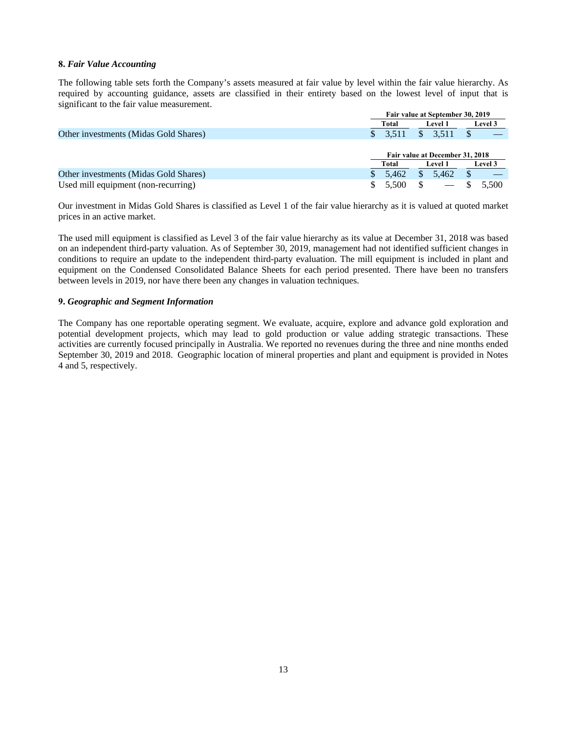## **8.** *Fair Value Accounting*

The following table sets forth the Company's assets measured at fair value by level within the fair value hierarchy. As required by accounting guidance, assets are classified in their entirety based on the lowest level of input that is significant to the fair value measurement.

|                                       | Fair value at September 30, 2019 |       |     |                                 |         |                |
|---------------------------------------|----------------------------------|-------|-----|---------------------------------|---------|----------------|
|                                       |                                  | Total |     | <b>Level 1</b>                  |         | <b>Level 3</b> |
| Other investments (Midas Gold Shares) |                                  | 3.511 | \$. | 3.511                           |         |                |
|                                       |                                  |       |     |                                 |         |                |
|                                       |                                  |       |     | Fair value at December 31, 2018 |         |                |
|                                       | Total<br><b>Level 1</b>          |       |     |                                 | Level 3 |                |
|                                       |                                  |       |     |                                 |         |                |
| Other investments (Midas Gold Shares) |                                  | 5.462 | \$  | 5.462                           |         |                |

Our investment in Midas Gold Shares is classified as Level 1 of the fair value hierarchy as it is valued at quoted market prices in an active market.

The used mill equipment is classified as Level 3 of the fair value hierarchy as its value at December 31, 2018 was based on an independent third-party valuation. As of September 30, 2019, management had not identified sufficient changes in conditions to require an update to the independent third-party evaluation. The mill equipment is included in plant and equipment on the Condensed Consolidated Balance Sheets for each period presented. There have been no transfers between levels in 2019, nor have there been any changes in valuation techniques.

## **9.** *Geographic and Segment Information*

The Company has one reportable operating segment. We evaluate, acquire, explore and advance gold exploration and potential development projects, which may lead to gold production or value adding strategic transactions. These activities are currently focused principally in Australia. We reported no revenues during the three and nine months ended September 30, 2019 and 2018. Geographic location of mineral properties and plant and equipment is provided in Notes 4 and 5, respectively.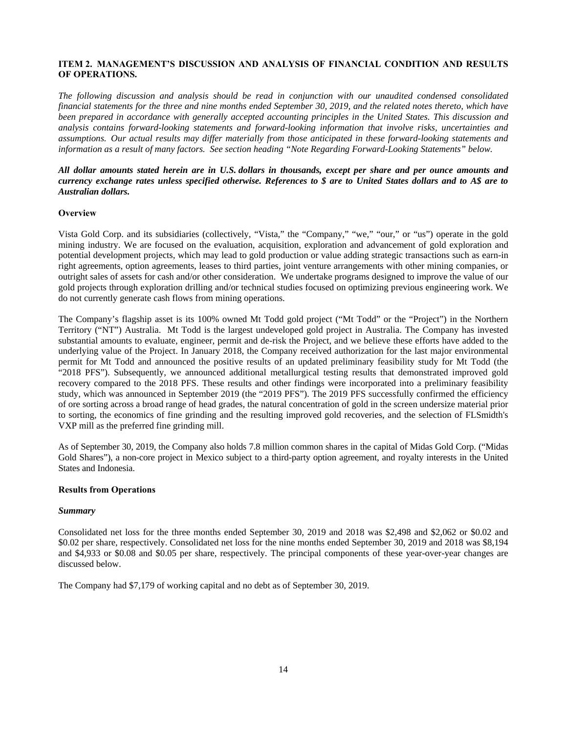## **ITEM 2. MANAGEMENT'S DISCUSSION AND ANALYSIS OF FINANCIAL CONDITION AND RESULTS OF OPERATIONS.**

*The following discussion and analysis should be read in conjunction with our unaudited condensed consolidated financial statements for the three and nine months ended September 30, 2019, and the related notes thereto, which have been prepared in accordance with generally accepted accounting principles in the United States. This discussion and analysis contains forward-looking statements and forward-looking information that involve risks, uncertainties and assumptions. Our actual results may differ materially from those anticipated in these forward-looking statements and information as a result of many factors. See section heading "Note Regarding Forward-Looking Statements" below.*

## *All dollar amounts stated herein are in U.S. dollars in thousands, except per share and per ounce amounts and currency exchange rates unless specified otherwise. References to \$ are to United States dollars and to A\$ are to Australian dollars.*

## **Overview**

Vista Gold Corp. and its subsidiaries (collectively, "Vista," the "Company," "we," "our," or "us") operate in the gold mining industry. We are focused on the evaluation, acquisition, exploration and advancement of gold exploration and potential development projects, which may lead to gold production or value adding strategic transactions such as earn-in right agreements, option agreements, leases to third parties, joint venture arrangements with other mining companies, or outright sales of assets for cash and/or other consideration. We undertake programs designed to improve the value of our gold projects through exploration drilling and/or technical studies focused on optimizing previous engineering work. We do not currently generate cash flows from mining operations.

The Company's flagship asset is its 100% owned Mt Todd gold project ("Mt Todd" or the "Project") in the Northern Territory ("NT") Australia. Mt Todd is the largest undeveloped gold project in Australia. The Company has invested substantial amounts to evaluate, engineer, permit and de-risk the Project, and we believe these efforts have added to the underlying value of the Project. In January 2018, the Company received authorization for the last major environmental permit for Mt Todd and announced the positive results of an updated preliminary feasibility study for Mt Todd (the "2018 PFS"). Subsequently, we announced additional metallurgical testing results that demonstrated improved gold recovery compared to the 2018 PFS. These results and other findings were incorporated into a preliminary feasibility study, which was announced in September 2019 (the "2019 PFS"). The 2019 PFS successfully confirmed the efficiency of ore sorting across a broad range of head grades, the natural concentration of gold in the screen undersize material prior to sorting, the economics of fine grinding and the resulting improved gold recoveries, and the selection of FLSmidth's VXP mill as the preferred fine grinding mill.

As of September 30, 2019, the Company also holds 7.8 million common shares in the capital of Midas Gold Corp. ("Midas Gold Shares"), a non-core project in Mexico subject to a third-party option agreement, and royalty interests in the United States and Indonesia.

#### **Results from Operations**

#### *Summary*

Consolidated net loss for the three months ended September 30, 2019 and 2018 was \$2,498 and \$2,062 or \$0.02 and \$0.02 per share, respectively. Consolidated net loss for the nine months ended September 30, 2019 and 2018 was \$8,194 and \$4,933 or \$0.08 and \$0.05 per share, respectively. The principal components of these year-over-year changes are discussed below.

The Company had \$7,179 of working capital and no debt as of September 30, 2019.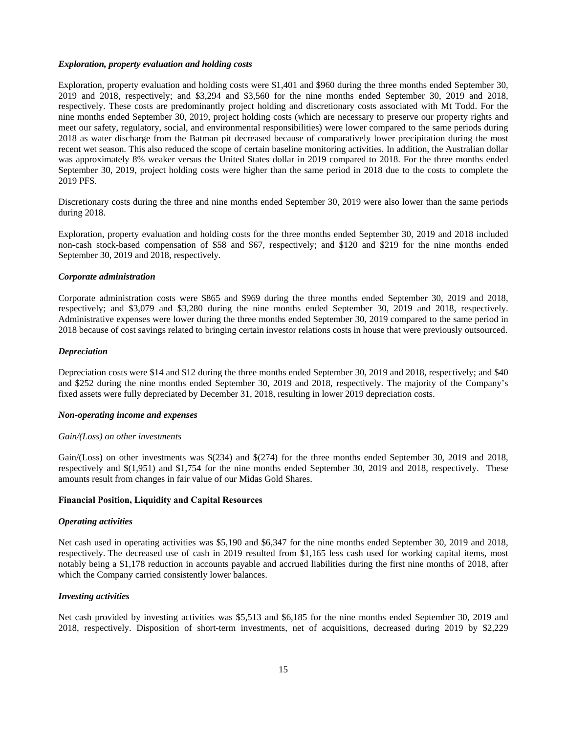#### *Exploration, property evaluation and holding costs*

Exploration, property evaluation and holding costs were \$1,401 and \$960 during the three months ended September 30, 2019 and 2018, respectively; and \$3,294 and \$3,560 for the nine months ended September 30, 2019 and 2018, respectively. These costs are predominantly project holding and discretionary costs associated with Mt Todd. For the nine months ended September 30, 2019, project holding costs (which are necessary to preserve our property rights and meet our safety, regulatory, social, and environmental responsibilities) were lower compared to the same periods during 2018 as water discharge from the Batman pit decreased because of comparatively lower precipitation during the most recent wet season. This also reduced the scope of certain baseline monitoring activities. In addition, the Australian dollar was approximately 8% weaker versus the United States dollar in 2019 compared to 2018. For the three months ended September 30, 2019, project holding costs were higher than the same period in 2018 due to the costs to complete the 2019 PFS.

Discretionary costs during the three and nine months ended September 30, 2019 were also lower than the same periods during 2018.

Exploration, property evaluation and holding costs for the three months ended September 30, 2019 and 2018 included non-cash stock-based compensation of \$58 and \$67, respectively; and \$120 and \$219 for the nine months ended September 30, 2019 and 2018, respectively.

#### *Corporate administration*

Corporate administration costs were \$865 and \$969 during the three months ended September 30, 2019 and 2018, respectively; and \$3,079 and \$3,280 during the nine months ended September 30, 2019 and 2018, respectively. Administrative expenses were lower during the three months ended September 30, 2019 compared to the same period in 2018 because of cost savings related to bringing certain investor relations costs in house that were previously outsourced.

#### *Depreciation*

Depreciation costs were \$14 and \$12 during the three months ended September 30, 2019 and 2018, respectively; and \$40 and \$252 during the nine months ended September 30, 2019 and 2018, respectively. The majority of the Company's fixed assets were fully depreciated by December 31, 2018, resulting in lower 2019 depreciation costs.

#### *Non-operating income and expenses*

#### *Gain/(Loss) on other investments*

Gain/(Loss) on other investments was \$(234) and \$(274) for the three months ended September 30, 2019 and 2018, respectively and \$(1,951) and \$1,754 for the nine months ended September 30, 2019 and 2018, respectively. These amounts result from changes in fair value of our Midas Gold Shares.

#### **Financial Position, Liquidity and Capital Resources**

#### *Operating activities*

Net cash used in operating activities was \$5,190 and \$6,347 for the nine months ended September 30, 2019 and 2018, respectively. The decreased use of cash in 2019 resulted from \$1,165 less cash used for working capital items, most notably being a \$1,178 reduction in accounts payable and accrued liabilities during the first nine months of 2018, after which the Company carried consistently lower balances.

#### *Investing activities*

Net cash provided by investing activities was \$5,513 and \$6,185 for the nine months ended September 30, 2019 and 2018, respectively. Disposition of short-term investments, net of acquisitions, decreased during 2019 by \$2,229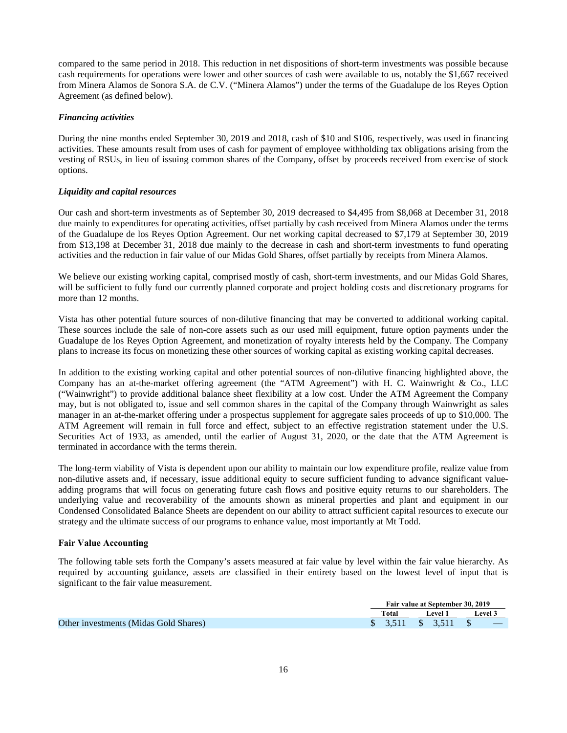compared to the same period in 2018. This reduction in net dispositions of short-term investments was possible because cash requirements for operations were lower and other sources of cash were available to us, notably the \$1,667 received from Minera Alamos de Sonora S.A. de C.V. ("Minera Alamos") under the terms of the Guadalupe de los Reyes Option Agreement (as defined below).

## *Financing activities*

During the nine months ended September 30, 2019 and 2018, cash of \$10 and \$106, respectively, was used in financing activities. These amounts result from uses of cash for payment of employee withholding tax obligations arising from the vesting of RSUs, in lieu of issuing common shares of the Company, offset by proceeds received from exercise of stock options.

## *Liquidity and capital resources*

Our cash and short-term investments as of September 30, 2019 decreased to \$4,495 from \$8,068 at December 31, 2018 due mainly to expenditures for operating activities, offset partially by cash received from Minera Alamos under the terms of the Guadalupe de los Reyes Option Agreement. Our net working capital decreased to \$7,179 at September 30, 2019 from \$13,198 at December 31, 2018 due mainly to the decrease in cash and short-term investments to fund operating activities and the reduction in fair value of our Midas Gold Shares, offset partially by receipts from Minera Alamos.

We believe our existing working capital, comprised mostly of cash, short-term investments, and our Midas Gold Shares, will be sufficient to fully fund our currently planned corporate and project holding costs and discretionary programs for more than 12 months.

Vista has other potential future sources of non-dilutive financing that may be converted to additional working capital. These sources include the sale of non-core assets such as our used mill equipment, future option payments under the Guadalupe de los Reyes Option Agreement, and monetization of royalty interests held by the Company. The Company plans to increase its focus on monetizing these other sources of working capital as existing working capital decreases.

In addition to the existing working capital and other potential sources of non-dilutive financing highlighted above, the Company has an at-the-market offering agreement (the "ATM Agreement") with H. C. Wainwright & Co., LLC ("Wainwright") to provide additional balance sheet flexibility at a low cost. Under the ATM Agreement the Company may, but is not obligated to, issue and sell common shares in the capital of the Company through Wainwright as sales manager in an at-the-market offering under a prospectus supplement for aggregate sales proceeds of up to \$10,000. The ATM Agreement will remain in full force and effect, subject to an effective registration statement under the U.S. Securities Act of 1933, as amended, until the earlier of August 31, 2020, or the date that the ATM Agreement is terminated in accordance with the terms therein.

The long-term viability of Vista is dependent upon our ability to maintain our low expenditure profile, realize value from non-dilutive assets and, if necessary, issue additional equity to secure sufficient funding to advance significant valueadding programs that will focus on generating future cash flows and positive equity returns to our shareholders. The underlying value and recoverability of the amounts shown as mineral properties and plant and equipment in our Condensed Consolidated Balance Sheets are dependent on our ability to attract sufficient capital resources to execute our strategy and the ultimate success of our programs to enhance value, most importantly at Mt Todd.

## **Fair Value Accounting**

The following table sets forth the Company's assets measured at fair value by level within the fair value hierarchy. As required by accounting guidance, assets are classified in their entirety based on the lowest level of input that is significant to the fair value measurement.

|                                       | Fair value at September 30, 2019 |  |         |  |         |  |  |
|---------------------------------------|----------------------------------|--|---------|--|---------|--|--|
|                                       | Total                            |  | Level 1 |  | Level 3 |  |  |
| Other investments (Midas Gold Shares) | \$ 3,511 \$ 3,511 \$             |  |         |  |         |  |  |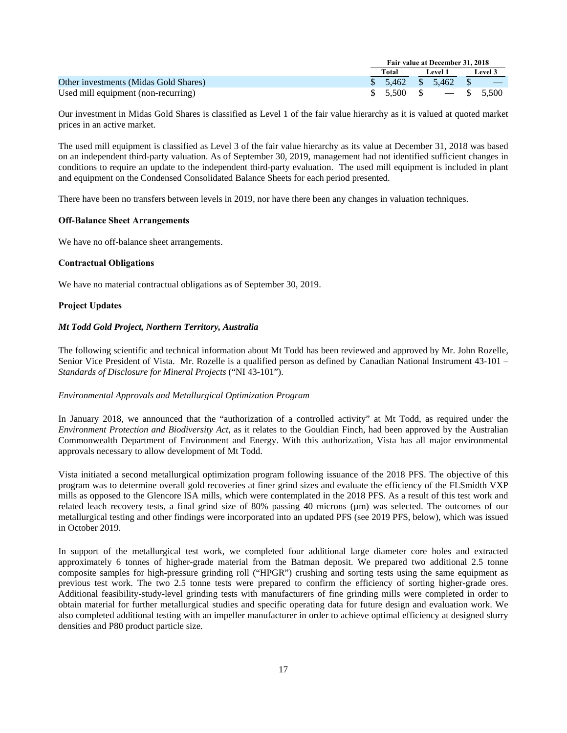|                                       | Fair value at December 31, 2018            |  |  |         |  |  |
|---------------------------------------|--------------------------------------------|--|--|---------|--|--|
|                                       | Total<br>Level 1                           |  |  | Level 3 |  |  |
| Other investments (Midas Gold Shares) | $$5,462$ \$ 5,462 \$ -                     |  |  |         |  |  |
| Used mill equipment (non-recurring)   | $\frac{1}{2}$ 5.500 \$ $\frac{1}{2}$ 5.500 |  |  |         |  |  |

Our investment in Midas Gold Shares is classified as Level 1 of the fair value hierarchy as it is valued at quoted market prices in an active market.

The used mill equipment is classified as Level 3 of the fair value hierarchy as its value at December 31, 2018 was based on an independent third-party valuation. As of September 30, 2019, management had not identified sufficient changes in conditions to require an update to the independent third-party evaluation. The used mill equipment is included in plant and equipment on the Condensed Consolidated Balance Sheets for each period presented.

There have been no transfers between levels in 2019, nor have there been any changes in valuation techniques.

## **Off-Balance Sheet Arrangements**

We have no off-balance sheet arrangements.

## **Contractual Obligations**

We have no material contractual obligations as of September 30, 2019.

## **Project Updates**

## *Mt Todd Gold Project, Northern Territory, Australia*

The following scientific and technical information about Mt Todd has been reviewed and approved by Mr. John Rozelle, Senior Vice President of Vista. Mr. Rozelle is a qualified person as defined by Canadian National Instrument 43-101 – *Standards of Disclosure for Mineral Projects* ("NI 43-101").

## *Environmental Approvals and Metallurgical Optimization Program*

In January 2018, we announced that the "authorization of a controlled activity" at Mt Todd, as required under the *Environment Protection and Biodiversity Act*, as it relates to the Gouldian Finch, had been approved by the Australian Commonwealth Department of Environment and Energy. With this authorization, Vista has all major environmental approvals necessary to allow development of Mt Todd.

Vista initiated a second metallurgical optimization program following issuance of the 2018 PFS. The objective of this program was to determine overall gold recoveries at finer grind sizes and evaluate the efficiency of the FLSmidth VXP mills as opposed to the Glencore ISA mills, which were contemplated in the 2018 PFS. As a result of this test work and related leach recovery tests, a final grind size of 80% passing 40 microns (µm) was selected. The outcomes of our metallurgical testing and other findings were incorporated into an updated PFS (see 2019 PFS, below), which was issued in October 2019.

In support of the metallurgical test work, we completed four additional large diameter core holes and extracted approximately 6 tonnes of higher-grade material from the Batman deposit. We prepared two additional 2.5 tonne composite samples for high-pressure grinding roll ("HPGR") crushing and sorting tests using the same equipment as previous test work. The two 2.5 tonne tests were prepared to confirm the efficiency of sorting higher-grade ores. Additional feasibility-study-level grinding tests with manufacturers of fine grinding mills were completed in order to obtain material for further metallurgical studies and specific operating data for future design and evaluation work. We also completed additional testing with an impeller manufacturer in order to achieve optimal efficiency at designed slurry densities and P80 product particle size.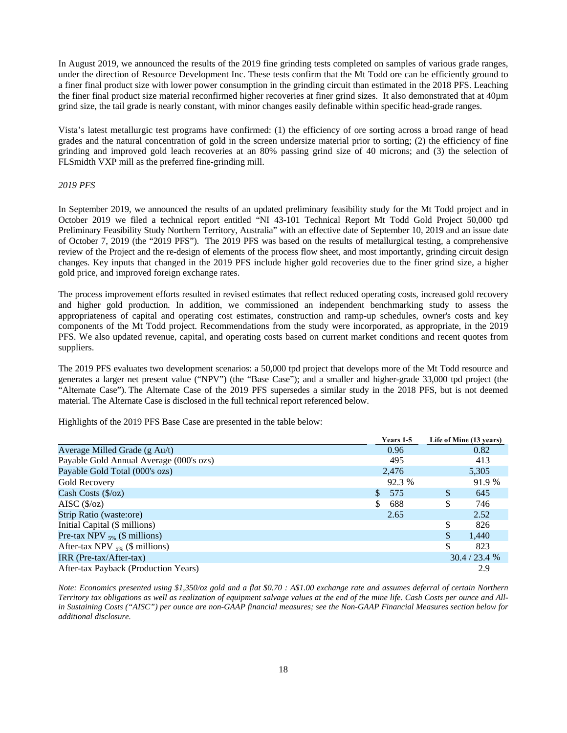In August 2019, we announced the results of the 2019 fine grinding tests completed on samples of various grade ranges, under the direction of Resource Development Inc. These tests confirm that the Mt Todd ore can be efficiently ground to a finer final product size with lower power consumption in the grinding circuit than estimated in the 2018 PFS. Leaching the finer final product size material reconfirmed higher recoveries at finer grind sizes. It also demonstrated that at 40µm grind size, the tail grade is nearly constant, with minor changes easily definable within specific head-grade ranges.

Vista's latest metallurgic test programs have confirmed: (1) the efficiency of ore sorting across a broad range of head grades and the natural concentration of gold in the screen undersize material prior to sorting; (2) the efficiency of fine grinding and improved gold leach recoveries at an 80% passing grind size of 40 microns; and (3) the selection of FLSmidth VXP mill as the preferred fine-grinding mill.

#### *2019 PFS*

In September 2019, we announced the results of an updated preliminary feasibility study for the Mt Todd project and in October 2019 we filed a technical report entitled "NI 43-101 Technical Report Mt Todd Gold Project 50,000 tpd Preliminary Feasibility Study Northern Territory, Australia" with an effective date of September 10, 2019 and an issue date of October 7, 2019 (the "2019 PFS"). The 2019 PFS was based on the results of metallurgical testing, a comprehensive review of the Project and the re-design of elements of the process flow sheet, and most importantly, grinding circuit design changes. Key inputs that changed in the 2019 PFS include higher gold recoveries due to the finer grind size, a higher gold price, and improved foreign exchange rates.

The process improvement efforts resulted in revised estimates that reflect reduced operating costs, increased gold recovery and higher gold production. In addition, we commissioned an independent benchmarking study to assess the appropriateness of capital and operating cost estimates, construction and ramp-up schedules, owner's costs and key components of the Mt Todd project. Recommendations from the study were incorporated, as appropriate, in the 2019 PFS. We also updated revenue, capital, and operating costs based on current market conditions and recent quotes from suppliers.

The 2019 PFS evaluates two development scenarios: a 50,000 tpd project that develops more of the Mt Todd resource and generates a larger net present value ("NPV") (the "Base Case"); and a smaller and higher-grade 33,000 tpd project (the "Alternate Case"). The Alternate Case of the 2019 PFS supersedes a similar study in the 2018 PFS, but is not deemed material. The Alternate Case is disclosed in the full technical report referenced below.

 $V_{\text{cone}} 1.5$ 

 **Years 1-5 Life of Mine (13 years)** 

|                                         | 1 cais 1-5 |    | Life of Millie (15 years) |
|-----------------------------------------|------------|----|---------------------------|
| Average Milled Grade (g Au/t)           | 0.96       |    | 0.82                      |
| Payable Gold Annual Average (000's ozs) | 495        |    | 413                       |
| Payable Gold Total (000's ozs)          | 2,476      |    | 5,305                     |
| Gold Recovery                           | 92.3 %     |    | 91.9 %                    |
| Cash Costs $(\frac{6}{2})$              | S.<br>575  | \$ | 645                       |
| AISC $(\frac{5}{oz})$                   | S<br>688   | S  | 746                       |
| Strip Ratio (waste:ore)                 | 2.65       |    | 2.52                      |
| Initial Capital (\$ millions)           |            | \$ | 826                       |
| Pre-tax NPV $_{5\%}$ (\$ millions)      |            | \$ | 1,440                     |
| After-tax NPV $_{5\%}$ (\$ millions)    |            | S. | 823                       |
| $IRR (Pre-tax/After-tax)$               |            |    | 30.4 / 23.4 %             |
| After-tax Payback (Production Years)    |            |    | 2.9                       |

Highlights of the 2019 PFS Base Case are presented in the table below:

*Note: Economics presented using \$1,350/oz gold and a flat \$0.70 : A\$1.00 exchange rate and assumes deferral of certain Northern Territory tax obligations as well as realization of equipment salvage values at the end of the mine life. Cash Costs per ounce and Allin Sustaining Costs ("AISC") per ounce are non-GAAP financial measures; see the Non-GAAP Financial Measures section below for additional disclosure.*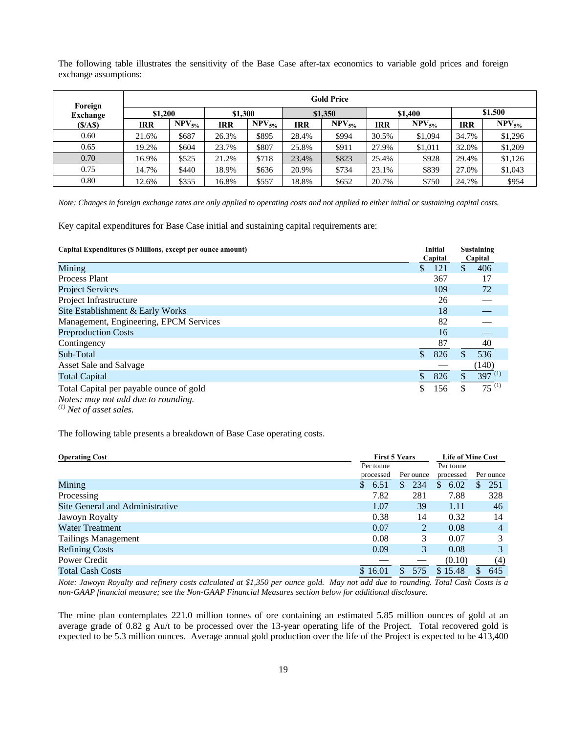The following table illustrates the sensitivity of the Base Case after-tax economics to variable gold prices and foreign exchange assumptions:

| Foreign         |            |             |         |             |         | <b>Gold Price</b> |         |             |            |             |
|-----------------|------------|-------------|---------|-------------|---------|-------------------|---------|-------------|------------|-------------|
| <b>Exchange</b> | \$1,200    |             | \$1,300 |             | \$1,350 |                   | \$1,400 |             | \$1,500    |             |
| (S/AS)          | <b>IRR</b> | $NPV_{5\%}$ | IRR     | $NPV_{5\%}$ | IRR     | $NPV_{5\%}$       | IRR     | $NPV_{5\%}$ | <b>IRR</b> | $NPV_{5\%}$ |
| 0.60            | 21.6%      | \$687       | 26.3%   | \$895       | 28.4%   | \$994             | 30.5%   | \$1,094     | 34.7%      | \$1,296     |
| 0.65            | 19.2%      | \$604       | 23.7%   | \$807       | 25.8%   | \$911             | 27.9%   | \$1,011     | 32.0%      | \$1,209     |
| 0.70            | 16.9%      | \$525       | 21.2%   | \$718       | 23.4%   | \$823             | 25.4%   | \$928       | 29.4%      | \$1,126     |
| 0.75            | 14.7%      | \$440       | 18.9%   | \$636       | 20.9%   | \$734             | 23.1%   | \$839       | 27.0%      | \$1,043     |
| 0.80            | 12.6%      | \$355       | 16.8%   | \$557       | 18.8%   | \$652             | 20.7%   | \$750       | 24.7%      | \$954       |

*Note: Changes in foreign exchange rates are only applied to operating costs and not applied to either initial or sustaining capital costs.* 

Key capital expenditures for Base Case initial and sustaining capital requirements are:

| Capital Expenditures (\$ Millions, except per ounce amount)                                                             | Initial<br>Capital   |    | <b>Sustaining</b><br>Capital |
|-------------------------------------------------------------------------------------------------------------------------|----------------------|----|------------------------------|
| Mining                                                                                                                  | $\mathbb{S}$<br>121  | \$ | 406                          |
| Process Plant                                                                                                           | 367                  |    | 17                           |
| <b>Project Services</b>                                                                                                 | 109                  |    | 72                           |
| Project Infrastructure                                                                                                  | 26                   |    |                              |
| Site Establishment & Early Works                                                                                        | 18                   |    |                              |
| Management, Engineering, EPCM Services                                                                                  | 82                   |    |                              |
| <b>Preproduction Costs</b>                                                                                              | 16                   |    |                              |
| Contingency                                                                                                             | 87                   |    | 40                           |
| Sub-Total                                                                                                               | 826<br>$\mathcal{S}$ |    | 536                          |
| Asset Sale and Salvage                                                                                                  |                      |    | (140)                        |
| <b>Total Capital</b>                                                                                                    | 826                  |    | $397^{(1)}$                  |
| Total Capital per payable ounce of gold<br>Notes: may not add due to rounding.<br>$\left(1\right)$ and $\left(1\right)$ | 156                  | S. | $\overline{75}^{(1)}$        |

*(1) Net of asset sales.* 

The following table presents a breakdown of Base Case operating costs.

| <b>Operating Cost</b>           | <b>First 5 Years</b> |    |           |                       |     | <b>Life of Mine Cost</b> |  |  |  |
|---------------------------------|----------------------|----|-----------|-----------------------|-----|--------------------------|--|--|--|
|                                 | Per tonne            |    |           | Per tonne             |     |                          |  |  |  |
|                                 | processed            |    | Per ounce | processed             |     | Per ounce                |  |  |  |
| Mining                          | 6.51<br>S            | S. | 234       | 6.02<br><sup>\$</sup> | \$. | 251                      |  |  |  |
| Processing                      | 7.82                 |    | 281       | 7.88                  |     | 328                      |  |  |  |
| Site General and Administrative | 1.07                 |    | 39        | 1.11                  |     | 46                       |  |  |  |
| Jawoyn Royalty                  | 0.38                 |    | 14        | 0.32                  |     | 14                       |  |  |  |
| <b>Water Treatment</b>          | 0.07                 |    | 2         | 0.08                  |     | $\overline{4}$           |  |  |  |
| <b>Tailings Management</b>      | 0.08                 |    | 3         | 0.07                  |     | 3                        |  |  |  |
| <b>Refining Costs</b>           | 0.09                 |    | 3         | 0.08                  |     | 3                        |  |  |  |
| Power Credit                    |                      |    |           | (0.10)                |     | (4)                      |  |  |  |
| <b>Total Cash Costs</b>         | \$16.01              | S  | 575       | \$15.48               |     | 645                      |  |  |  |

*Note: Jawoyn Royalty and refinery costs calculated at \$1,350 per ounce gold. May not add due to rounding. Total Cash Costs is a non-GAAP financial measure; see the Non-GAAP Financial Measures section below for additional disclosure.*

The mine plan contemplates 221.0 million tonnes of ore containing an estimated 5.85 million ounces of gold at an average grade of 0.82 g Au/t to be processed over the 13-year operating life of the Project. Total recovered gold is expected to be 5.3 million ounces. Average annual gold production over the life of the Project is expected to be 413,400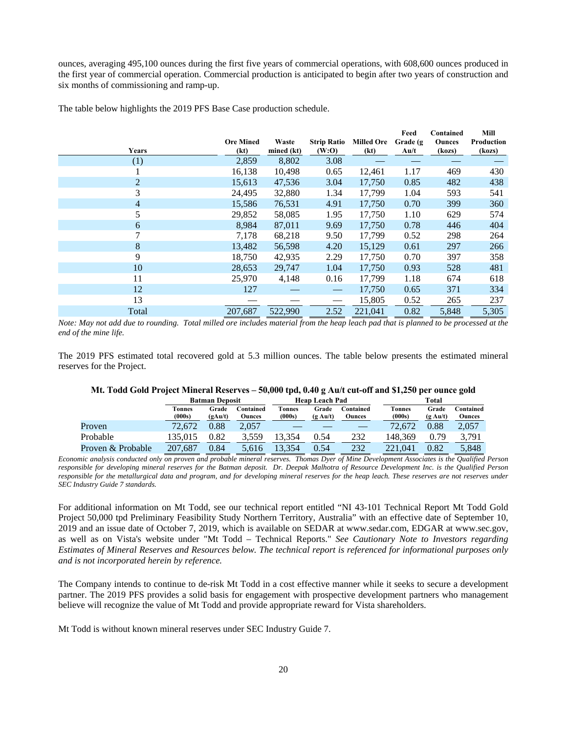ounces, averaging 495,100 ounces during the first five years of commercial operations, with 608,600 ounces produced in the first year of commercial operation. Commercial production is anticipated to begin after two years of construction and six months of commissioning and ramp-up.

|  |  | The table below highlights the 2019 PFS Base Case production schedule. |
|--|--|------------------------------------------------------------------------|
|  |  |                                                                        |

|       |                          |                     |                                 |                           | Feed             | Contained               | Mill                 |
|-------|--------------------------|---------------------|---------------------------------|---------------------------|------------------|-------------------------|----------------------|
| Years | <b>Ore Mined</b><br>(kt) | Waste<br>mined (kt) | <b>Strip Ratio</b><br>(W:O)     | <b>Milled Ore</b><br>(kt) | Grade (g<br>Au/t | <b>Ounces</b><br>(kozs) | Production<br>(kozs) |
| (1)   | 2,859                    | 8,802               | 3.08                            |                           |                  |                         |                      |
|       | 16,138                   | 10,498              | 0.65                            | 12,461                    | 1.17             | 469                     | 430                  |
| 2     | 15,613                   | 47,536              | 3.04                            | 17,750                    | 0.85             | 482                     | 438                  |
| 3     | 24,495                   | 32,880              | 1.34                            | 17,799                    | 1.04             | 593                     | 541                  |
| 4     | 15,586                   | 76,531              | 4.91                            | 17,750                    | 0.70             | 399                     | 360                  |
| 5     | 29,852                   | 58,085              | 1.95                            | 17,750                    | 1.10             | 629                     | 574                  |
| 6     | 8,984                    | 87,011              | 9.69                            | 17,750                    | 0.78             | 446                     | 404                  |
| 7     | 7,178                    | 68,218              | 9.50                            | 17,799                    | 0.52             | 298                     | 264                  |
| 8     | 13,482                   | 56,598              | 4.20                            | 15,129                    | 0.61             | 297                     | 266                  |
| 9     | 18,750                   | 42,935              | 2.29                            | 17,750                    | 0.70             | 397                     | 358                  |
| 10    | 28,653                   | 29,747              | 1.04                            | 17,750                    | 0.93             | 528                     | 481                  |
| 11    | 25,970                   | 4,148               | 0.16                            | 17,799                    | 1.18             | 674                     | 618                  |
| 12    | 127                      |                     | $\hspace{0.1mm}-\hspace{0.1mm}$ | 17,750                    | 0.65             | 371                     | 334                  |
| 13    |                          |                     |                                 | 15,805                    | 0.52             | 265                     | 237                  |
| Total | 207,687                  | 522,990             | 2.52                            | 221.041                   | 0.82             | 5,848                   | 5,305                |

*Note: May not add due to rounding. Total milled ore includes material from the heap leach pad that is planned to be processed at the end of the mine life.* 

The 2019 PFS estimated total recovered gold at 5.3 million ounces. The table below presents the estimated mineral reserves for the Project.

#### **Mt. Todd Gold Project Mineral Reserves – 50,000 tpd, 0.40 g Au/t cut-off and \$1,250 per ounce gold**

|                   | <b>Batman Deposit</b> |                  |                     | <b>Heap Leach Pad</b> |                             |                            | Total            |                             |                     |  |
|-------------------|-----------------------|------------------|---------------------|-----------------------|-----------------------------|----------------------------|------------------|-----------------------------|---------------------|--|
|                   | Tonnes<br>(000s)      | Grade<br>(gAu/t) | Contained<br>Ounces | Tonnes<br>(000s)      | Grade<br>$(g \text{ Au}/t)$ | ⊡ontained<br><b>Ounces</b> | Tonnes<br>(000s) | Grade<br>$(g \text{ Au}/t)$ | Contained<br>Ounces |  |
| Proven            | 72,672                | 0.88             | 2.057               |                       |                             |                            | 72,672           | 0.88                        | 2,057               |  |
| Probable          | 35.015                | 0.82             | 3.559               | .354                  | 0.54                        | 232                        | 148.369          | 0.79                        | 3.791               |  |
| Proven & Probable | 207.687               | 0.84             | 5.616               | .3,354                | 0.54                        | 232                        | 221.041          | 0.82                        | 5,848               |  |

*Economic analysis conducted only on proven and probable mineral reserves. Thomas Dyer of Mine Development Associates is the Qualified Person responsible for developing mineral reserves for the Batman deposit. Dr. Deepak Malhotra of Resource Development Inc. is the Qualified Person responsible for the metallurgical data and program, and for developing mineral reserves for the heap leach. These reserves are not reserves under SEC Industry Guide 7 standards.* 

For additional information on Mt Todd, see our technical report entitled "NI 43-101 Technical Report Mt Todd Gold Project 50,000 tpd Preliminary Feasibility Study Northern Territory, Australia" with an effective date of September 10, 2019 and an issue date of October 7, 2019, which is available on SEDAR at www.sedar.com, EDGAR at www.sec.gov, as well as on Vista's website under "Mt Todd – Technical Reports." *See Cautionary Note to Investors regarding Estimates of Mineral Reserves and Resources below. The technical report is referenced for informational purposes only and is not incorporated herein by reference.* 

The Company intends to continue to de-risk Mt Todd in a cost effective manner while it seeks to secure a development partner. The 2019 PFS provides a solid basis for engagement with prospective development partners who management believe will recognize the value of Mt Todd and provide appropriate reward for Vista shareholders.

Mt Todd is without known mineral reserves under SEC Industry Guide 7.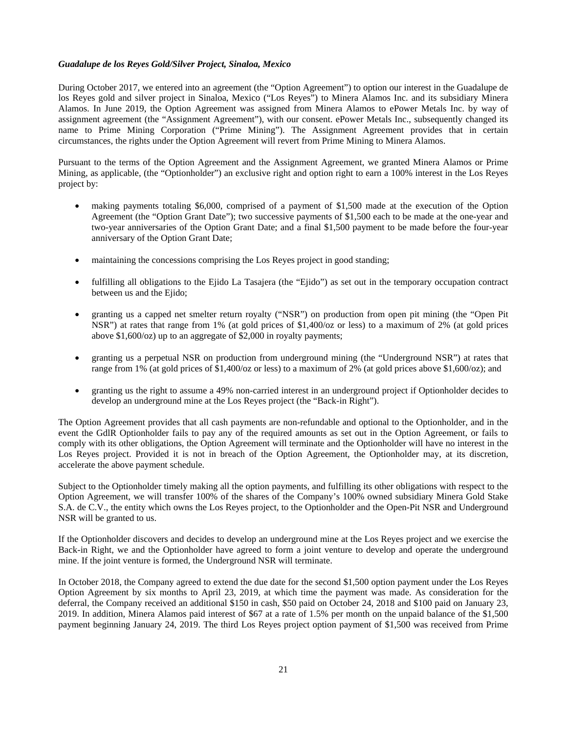## *Guadalupe de los Reyes Gold/Silver Project, Sinaloa, Mexico*

During October 2017, we entered into an agreement (the "Option Agreement") to option our interest in the Guadalupe de los Reyes gold and silver project in Sinaloa, Mexico ("Los Reyes") to Minera Alamos Inc. and its subsidiary Minera Alamos. In June 2019, the Option Agreement was assigned from Minera Alamos to ePower Metals Inc. by way of assignment agreement (the "Assignment Agreement"), with our consent. ePower Metals Inc., subsequently changed its name to Prime Mining Corporation ("Prime Mining"). The Assignment Agreement provides that in certain circumstances, the rights under the Option Agreement will revert from Prime Mining to Minera Alamos.

Pursuant to the terms of the Option Agreement and the Assignment Agreement, we granted Minera Alamos or Prime Mining, as applicable, (the "Optionholder") an exclusive right and option right to earn a 100% interest in the Los Reyes project by:

- making payments totaling \$6,000, comprised of a payment of \$1,500 made at the execution of the Option Agreement (the "Option Grant Date"); two successive payments of \$1,500 each to be made at the one-year and two-year anniversaries of the Option Grant Date; and a final \$1,500 payment to be made before the four-year anniversary of the Option Grant Date;
- maintaining the concessions comprising the Los Reyes project in good standing;
- fulfilling all obligations to the Ejido La Tasajera (the "Ejido") as set out in the temporary occupation contract between us and the Ejido;
- granting us a capped net smelter return royalty ("NSR") on production from open pit mining (the "Open Pit NSR") at rates that range from 1% (at gold prices of \$1,400/oz or less) to a maximum of 2% (at gold prices above \$1,600/oz) up to an aggregate of \$2,000 in royalty payments;
- granting us a perpetual NSR on production from underground mining (the "Underground NSR") at rates that range from 1% (at gold prices of \$1,400/oz or less) to a maximum of 2% (at gold prices above \$1,600/oz); and
- granting us the right to assume a 49% non-carried interest in an underground project if Optionholder decides to develop an underground mine at the Los Reyes project (the "Back-in Right").

The Option Agreement provides that all cash payments are non-refundable and optional to the Optionholder, and in the event the GdlR Optionholder fails to pay any of the required amounts as set out in the Option Agreement, or fails to comply with its other obligations, the Option Agreement will terminate and the Optionholder will have no interest in the Los Reyes project. Provided it is not in breach of the Option Agreement, the Optionholder may, at its discretion, accelerate the above payment schedule.

Subject to the Optionholder timely making all the option payments, and fulfilling its other obligations with respect to the Option Agreement, we will transfer 100% of the shares of the Company's 100% owned subsidiary Minera Gold Stake S.A. de C.V., the entity which owns the Los Reyes project, to the Optionholder and the Open-Pit NSR and Underground NSR will be granted to us.

If the Optionholder discovers and decides to develop an underground mine at the Los Reyes project and we exercise the Back-in Right, we and the Optionholder have agreed to form a joint venture to develop and operate the underground mine. If the joint venture is formed, the Underground NSR will terminate.

In October 2018, the Company agreed to extend the due date for the second \$1,500 option payment under the Los Reyes Option Agreement by six months to April 23, 2019, at which time the payment was made. As consideration for the deferral, the Company received an additional \$150 in cash, \$50 paid on October 24, 2018 and \$100 paid on January 23, 2019. In addition, Minera Alamos paid interest of \$67 at a rate of 1.5% per month on the unpaid balance of the \$1,500 payment beginning January 24, 2019. The third Los Reyes project option payment of \$1,500 was received from Prime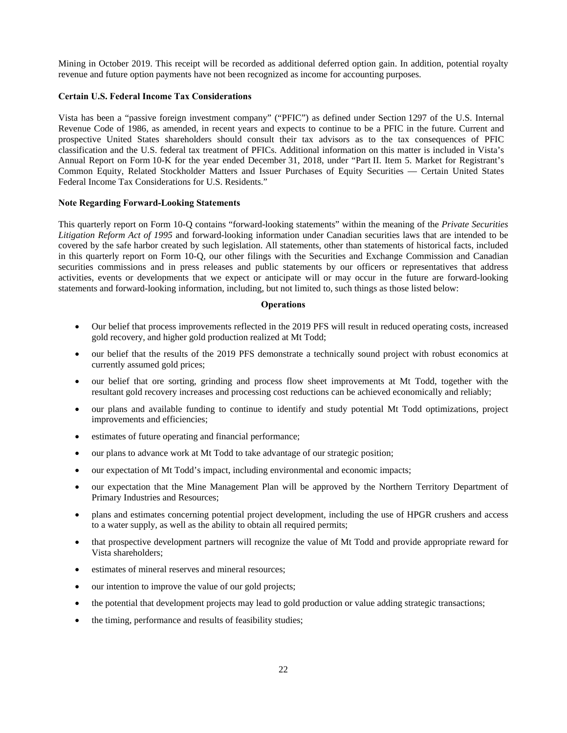Mining in October 2019. This receipt will be recorded as additional deferred option gain. In addition, potential royalty revenue and future option payments have not been recognized as income for accounting purposes.

## **Certain U.S. Federal Income Tax Considerations**

Vista has been a "passive foreign investment company" ("PFIC") as defined under Section 1297 of the U.S. Internal Revenue Code of 1986, as amended, in recent years and expects to continue to be a PFIC in the future. Current and prospective United States shareholders should consult their tax advisors as to the tax consequences of PFIC classification and the U.S. federal tax treatment of PFICs. Additional information on this matter is included in Vista's Annual Report on Form 10-K for the year ended December 31, 2018, under "Part II. Item 5. Market for Registrant's Common Equity, Related Stockholder Matters and Issuer Purchases of Equity Securities — Certain United States Federal Income Tax Considerations for U.S. Residents."

## **Note Regarding Forward-Looking Statements**

This quarterly report on Form 10-Q contains "forward-looking statements" within the meaning of the *Private Securities Litigation Reform Act of 1995* and forward-looking information under Canadian securities laws that are intended to be covered by the safe harbor created by such legislation. All statements, other than statements of historical facts, included in this quarterly report on Form 10-Q, our other filings with the Securities and Exchange Commission and Canadian securities commissions and in press releases and public statements by our officers or representatives that address activities, events or developments that we expect or anticipate will or may occur in the future are forward-looking statements and forward-looking information, including, but not limited to, such things as those listed below:

## **Operations**

- Our belief that process improvements reflected in the 2019 PFS will result in reduced operating costs, increased gold recovery, and higher gold production realized at Mt Todd;
- our belief that the results of the 2019 PFS demonstrate a technically sound project with robust economics at currently assumed gold prices;
- our belief that ore sorting, grinding and process flow sheet improvements at Mt Todd, together with the resultant gold recovery increases and processing cost reductions can be achieved economically and reliably;
- our plans and available funding to continue to identify and study potential Mt Todd optimizations, project improvements and efficiencies;
- estimates of future operating and financial performance;
- our plans to advance work at Mt Todd to take advantage of our strategic position;
- our expectation of Mt Todd's impact, including environmental and economic impacts;
- our expectation that the Mine Management Plan will be approved by the Northern Territory Department of Primary Industries and Resources;
- plans and estimates concerning potential project development, including the use of HPGR crushers and access to a water supply, as well as the ability to obtain all required permits;
- that prospective development partners will recognize the value of Mt Todd and provide appropriate reward for Vista shareholders;
- estimates of mineral reserves and mineral resources;
- our intention to improve the value of our gold projects;
- the potential that development projects may lead to gold production or value adding strategic transactions;
- the timing, performance and results of feasibility studies;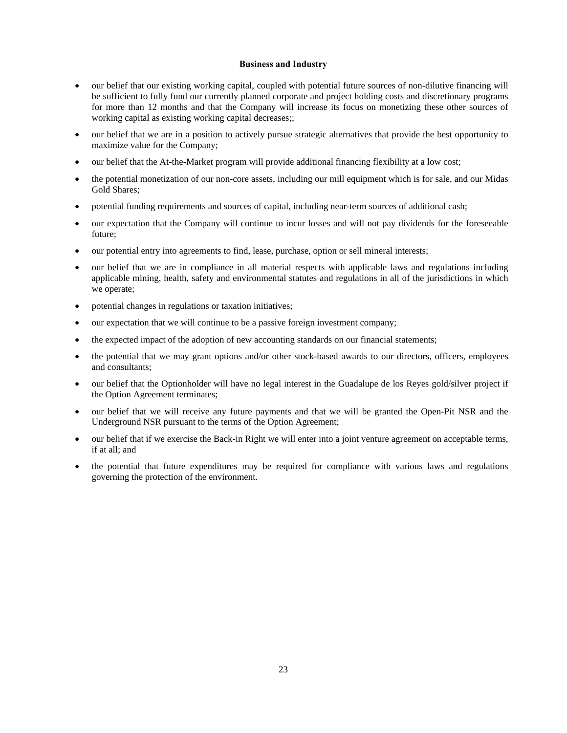## **Business and Industry**

- our belief that our existing working capital, coupled with potential future sources of non-dilutive financing will be sufficient to fully fund our currently planned corporate and project holding costs and discretionary programs for more than 12 months and that the Company will increase its focus on monetizing these other sources of working capital as existing working capital decreases;;
- our belief that we are in a position to actively pursue strategic alternatives that provide the best opportunity to maximize value for the Company;
- our belief that the At-the-Market program will provide additional financing flexibility at a low cost;
- the potential monetization of our non-core assets, including our mill equipment which is for sale, and our Midas Gold Shares;
- potential funding requirements and sources of capital, including near-term sources of additional cash;
- our expectation that the Company will continue to incur losses and will not pay dividends for the foreseeable future;
- our potential entry into agreements to find, lease, purchase, option or sell mineral interests;
- our belief that we are in compliance in all material respects with applicable laws and regulations including applicable mining, health, safety and environmental statutes and regulations in all of the jurisdictions in which we operate;
- potential changes in regulations or taxation initiatives;
- our expectation that we will continue to be a passive foreign investment company;
- the expected impact of the adoption of new accounting standards on our financial statements;
- the potential that we may grant options and/or other stock-based awards to our directors, officers, employees and consultants;
- our belief that the Optionholder will have no legal interest in the Guadalupe de los Reyes gold/silver project if the Option Agreement terminates;
- our belief that we will receive any future payments and that we will be granted the Open-Pit NSR and the Underground NSR pursuant to the terms of the Option Agreement;
- our belief that if we exercise the Back-in Right we will enter into a joint venture agreement on acceptable terms, if at all; and
- the potential that future expenditures may be required for compliance with various laws and regulations governing the protection of the environment.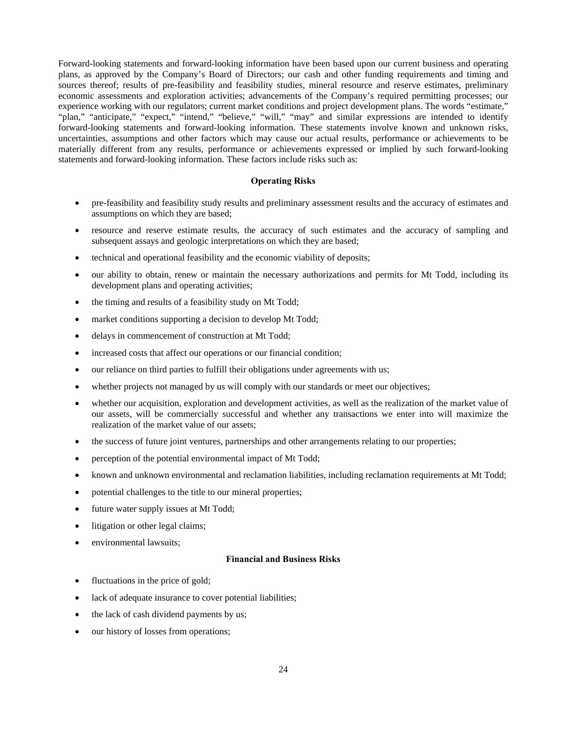Forward-looking statements and forward-looking information have been based upon our current business and operating plans, as approved by the Company's Board of Directors; our cash and other funding requirements and timing and sources thereof; results of pre-feasibility and feasibility studies, mineral resource and reserve estimates, preliminary economic assessments and exploration activities; advancements of the Company's required permitting processes; our experience working with our regulators; current market conditions and project development plans. The words "estimate," "plan," "anticipate," "expect," "intend," "believe," "will," "may" and similar expressions are intended to identify forward-looking statements and forward-looking information. These statements involve known and unknown risks, uncertainties, assumptions and other factors which may cause our actual results, performance or achievements to be materially different from any results, performance or achievements expressed or implied by such forward-looking statements and forward-looking information. These factors include risks such as:

## **Operating Risks**

- pre-feasibility and feasibility study results and preliminary assessment results and the accuracy of estimates and assumptions on which they are based;
- resource and reserve estimate results, the accuracy of such estimates and the accuracy of sampling and subsequent assays and geologic interpretations on which they are based;
- technical and operational feasibility and the economic viability of deposits;
- our ability to obtain, renew or maintain the necessary authorizations and permits for Mt Todd, including its development plans and operating activities;
- the timing and results of a feasibility study on Mt Todd;
- market conditions supporting a decision to develop Mt Todd;
- delays in commencement of construction at Mt Todd;
- increased costs that affect our operations or our financial condition;
- our reliance on third parties to fulfill their obligations under agreements with us;
- whether projects not managed by us will comply with our standards or meet our objectives;
- whether our acquisition, exploration and development activities, as well as the realization of the market value of our assets, will be commercially successful and whether any transactions we enter into will maximize the realization of the market value of our assets;
- the success of future joint ventures, partnerships and other arrangements relating to our properties;
- perception of the potential environmental impact of Mt Todd;
- known and unknown environmental and reclamation liabilities, including reclamation requirements at Mt Todd;
- potential challenges to the title to our mineral properties;
- future water supply issues at Mt Todd;
- litigation or other legal claims;
- environmental lawsuits;

#### **Financial and Business Risks**

- fluctuations in the price of gold;
- lack of adequate insurance to cover potential liabilities;
- the lack of cash dividend payments by us;
- our history of losses from operations;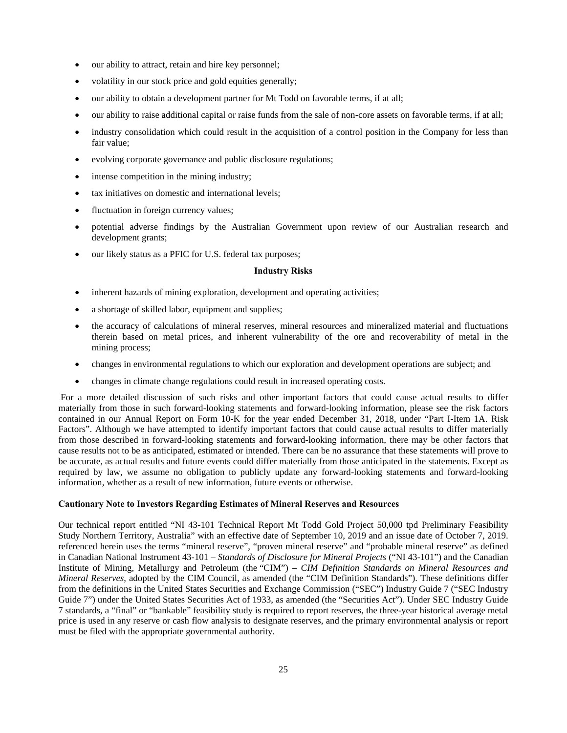- our ability to attract, retain and hire key personnel;
- volatility in our stock price and gold equities generally;
- our ability to obtain a development partner for Mt Todd on favorable terms, if at all;
- our ability to raise additional capital or raise funds from the sale of non-core assets on favorable terms, if at all;
- industry consolidation which could result in the acquisition of a control position in the Company for less than fair value;
- evolving corporate governance and public disclosure regulations;
- intense competition in the mining industry;
- tax initiatives on domestic and international levels;
- fluctuation in foreign currency values;
- potential adverse findings by the Australian Government upon review of our Australian research and development grants;
- our likely status as a PFIC for U.S. federal tax purposes;

## **Industry Risks**

- inherent hazards of mining exploration, development and operating activities;
- a shortage of skilled labor, equipment and supplies;
- the accuracy of calculations of mineral reserves, mineral resources and mineralized material and fluctuations therein based on metal prices, and inherent vulnerability of the ore and recoverability of metal in the mining process;
- changes in environmental regulations to which our exploration and development operations are subject; and
- changes in climate change regulations could result in increased operating costs.

 For a more detailed discussion of such risks and other important factors that could cause actual results to differ materially from those in such forward-looking statements and forward-looking information, please see the risk factors contained in our Annual Report on Form 10-K for the year ended December 31, 2018, under "Part I-Item 1A. Risk Factors". Although we have attempted to identify important factors that could cause actual results to differ materially from those described in forward-looking statements and forward-looking information, there may be other factors that cause results not to be as anticipated, estimated or intended. There can be no assurance that these statements will prove to be accurate, as actual results and future events could differ materially from those anticipated in the statements. Except as required by law, we assume no obligation to publicly update any forward-looking statements and forward-looking information, whether as a result of new information, future events or otherwise.

## **Cautionary Note to Investors Regarding Estimates of Mineral Reserves and Resources**

Our technical report entitled "NI 43-101 Technical Report Mt Todd Gold Project 50,000 tpd Preliminary Feasibility Study Northern Territory, Australia" with an effective date of September 10, 2019 and an issue date of October 7, 2019. referenced herein uses the terms "mineral reserve", "proven mineral reserve" and "probable mineral reserve" as defined in Canadian National Instrument 43-101 – *Standards of Disclosure for Mineral Projects* ("NI 43-101") and the Canadian Institute of Mining, Metallurgy and Petroleum (the "CIM") – *CIM Definition Standards on Mineral Resources and Mineral Reserves*, adopted by the CIM Council, as amended (the "CIM Definition Standards"). These definitions differ from the definitions in the United States Securities and Exchange Commission ("SEC") Industry Guide 7 ("SEC Industry Guide 7") under the United States Securities Act of 1933, as amended (the "Securities Act"). Under SEC Industry Guide 7 standards, a "final" or "bankable" feasibility study is required to report reserves, the three-year historical average metal price is used in any reserve or cash flow analysis to designate reserves, and the primary environmental analysis or report must be filed with the appropriate governmental authority.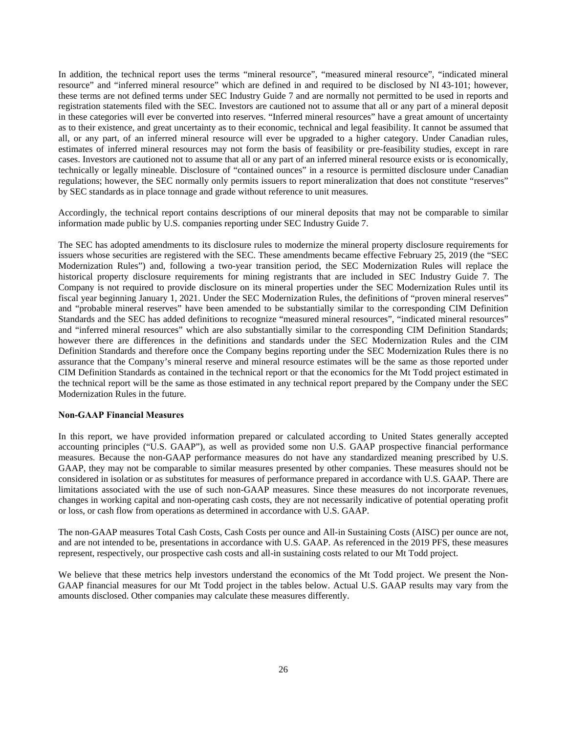In addition, the technical report uses the terms "mineral resource", "measured mineral resource", "indicated mineral resource" and "inferred mineral resource" which are defined in and required to be disclosed by NI 43-101; however, these terms are not defined terms under SEC Industry Guide 7 and are normally not permitted to be used in reports and registration statements filed with the SEC. Investors are cautioned not to assume that all or any part of a mineral deposit in these categories will ever be converted into reserves. "Inferred mineral resources" have a great amount of uncertainty as to their existence, and great uncertainty as to their economic, technical and legal feasibility. It cannot be assumed that all, or any part, of an inferred mineral resource will ever be upgraded to a higher category. Under Canadian rules, estimates of inferred mineral resources may not form the basis of feasibility or pre-feasibility studies, except in rare cases. Investors are cautioned not to assume that all or any part of an inferred mineral resource exists or is economically, technically or legally mineable. Disclosure of "contained ounces" in a resource is permitted disclosure under Canadian regulations; however, the SEC normally only permits issuers to report mineralization that does not constitute "reserves" by SEC standards as in place tonnage and grade without reference to unit measures.

Accordingly, the technical report contains descriptions of our mineral deposits that may not be comparable to similar information made public by U.S. companies reporting under SEC Industry Guide 7.

The SEC has adopted amendments to its disclosure rules to modernize the mineral property disclosure requirements for issuers whose securities are registered with the SEC. These amendments became effective February 25, 2019 (the "SEC Modernization Rules") and, following a two-year transition period, the SEC Modernization Rules will replace the historical property disclosure requirements for mining registrants that are included in SEC Industry Guide 7. The Company is not required to provide disclosure on its mineral properties under the SEC Modernization Rules until its fiscal year beginning January 1, 2021. Under the SEC Modernization Rules, the definitions of "proven mineral reserves" and "probable mineral reserves" have been amended to be substantially similar to the corresponding CIM Definition Standards and the SEC has added definitions to recognize "measured mineral resources", "indicated mineral resources" and "inferred mineral resources" which are also substantially similar to the corresponding CIM Definition Standards; however there are differences in the definitions and standards under the SEC Modernization Rules and the CIM Definition Standards and therefore once the Company begins reporting under the SEC Modernization Rules there is no assurance that the Company's mineral reserve and mineral resource estimates will be the same as those reported under CIM Definition Standards as contained in the technical report or that the economics for the Mt Todd project estimated in the technical report will be the same as those estimated in any technical report prepared by the Company under the SEC Modernization Rules in the future.

## **Non-GAAP Financial Measures**

In this report, we have provided information prepared or calculated according to United States generally accepted accounting principles ("U.S. GAAP"), as well as provided some non U.S. GAAP prospective financial performance measures. Because the non-GAAP performance measures do not have any standardized meaning prescribed by U.S. GAAP, they may not be comparable to similar measures presented by other companies. These measures should not be considered in isolation or as substitutes for measures of performance prepared in accordance with U.S. GAAP. There are limitations associated with the use of such non-GAAP measures. Since these measures do not incorporate revenues, changes in working capital and non-operating cash costs, they are not necessarily indicative of potential operating profit or loss, or cash flow from operations as determined in accordance with U.S. GAAP.

The non-GAAP measures Total Cash Costs, Cash Costs per ounce and All-in Sustaining Costs (AISC) per ounce are not, and are not intended to be, presentations in accordance with U.S. GAAP. As referenced in the 2019 PFS, these measures represent, respectively, our prospective cash costs and all-in sustaining costs related to our Mt Todd project.

We believe that these metrics help investors understand the economics of the Mt Todd project. We present the Non-GAAP financial measures for our Mt Todd project in the tables below. Actual U.S. GAAP results may vary from the amounts disclosed. Other companies may calculate these measures differently.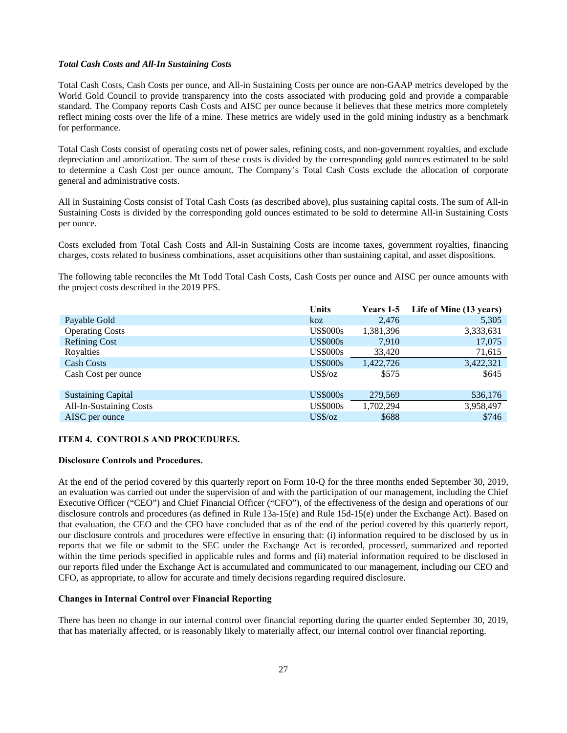#### *Total Cash Costs and All-In Sustaining Costs*

Total Cash Costs, Cash Costs per ounce, and All-in Sustaining Costs per ounce are non-GAAP metrics developed by the World Gold Council to provide transparency into the costs associated with producing gold and provide a comparable standard. The Company reports Cash Costs and AISC per ounce because it believes that these metrics more completely reflect mining costs over the life of a mine. These metrics are widely used in the gold mining industry as a benchmark for performance.

Total Cash Costs consist of operating costs net of power sales, refining costs, and non-government royalties, and exclude depreciation and amortization. The sum of these costs is divided by the corresponding gold ounces estimated to be sold to determine a Cash Cost per ounce amount. The Company's Total Cash Costs exclude the allocation of corporate general and administrative costs.

All in Sustaining Costs consist of Total Cash Costs (as described above), plus sustaining capital costs. The sum of All-in Sustaining Costs is divided by the corresponding gold ounces estimated to be sold to determine All-in Sustaining Costs per ounce.

Costs excluded from Total Cash Costs and All-in Sustaining Costs are income taxes, government royalties, financing charges, costs related to business combinations, asset acquisitions other than sustaining capital, and asset dispositions.

The following table reconciles the Mt Todd Total Cash Costs, Cash Costs per ounce and AISC per ounce amounts with the project costs described in the 2019 PFS.

|                                | <b>Units</b>    | <b>Years 1-5</b> | Life of Mine (13 years) |
|--------------------------------|-----------------|------------------|-------------------------|
| Payable Gold                   | koz             | 2,476            | 5,305                   |
| <b>Operating Costs</b>         | <b>US\$000s</b> | 1,381,396        | 3,333,631               |
| <b>Refining Cost</b>           | <b>US\$000s</b> | 7.910            | 17,075                  |
| Royalties                      | <b>US\$000s</b> | 33,420           | 71,615                  |
| <b>Cash Costs</b>              | <b>US\$000s</b> | 1,422,726        | 3,422,321               |
| Cash Cost per ounce            | $US\%$ /oz      | \$575            | \$645                   |
| <b>Sustaining Capital</b>      | <b>US\$000s</b> | 279,569          | 536,176                 |
| <b>All-In-Sustaining Costs</b> | <b>US\$000s</b> | 1,702,294        | 3,958,497               |
| AISC per ounce                 | $US\%/oz$       | \$688            | \$746                   |

#### **ITEM 4. CONTROLS AND PROCEDURES.**

#### **Disclosure Controls and Procedures.**

At the end of the period covered by this quarterly report on Form 10-Q for the three months ended September 30, 2019, an evaluation was carried out under the supervision of and with the participation of our management, including the Chief Executive Officer ("CEO") and Chief Financial Officer ("CFO"), of the effectiveness of the design and operations of our disclosure controls and procedures (as defined in Rule 13a-15(e) and Rule 15d-15(e) under the Exchange Act). Based on that evaluation, the CEO and the CFO have concluded that as of the end of the period covered by this quarterly report, our disclosure controls and procedures were effective in ensuring that: (i) information required to be disclosed by us in reports that we file or submit to the SEC under the Exchange Act is recorded, processed, summarized and reported within the time periods specified in applicable rules and forms and (ii) material information required to be disclosed in our reports filed under the Exchange Act is accumulated and communicated to our management, including our CEO and CFO, as appropriate, to allow for accurate and timely decisions regarding required disclosure.

## **Changes in Internal Control over Financial Reporting**

There has been no change in our internal control over financial reporting during the quarter ended September 30, 2019, that has materially affected, or is reasonably likely to materially affect, our internal control over financial reporting.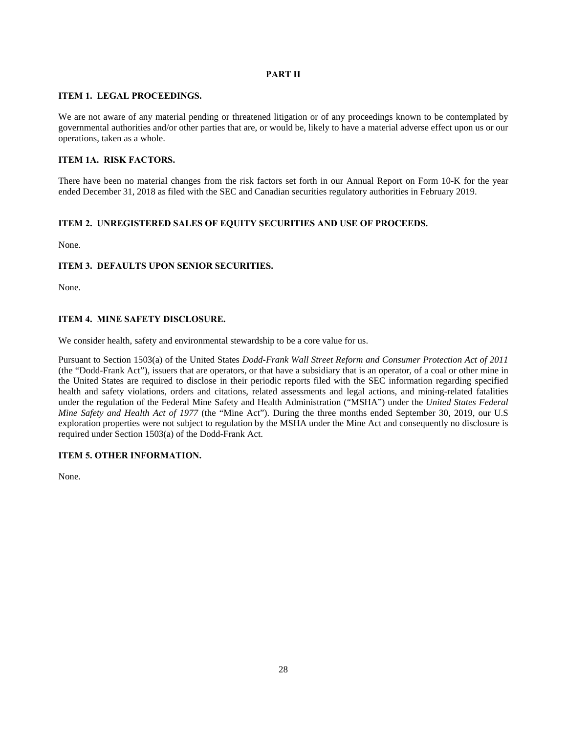## **PART II**

## **ITEM 1. LEGAL PROCEEDINGS.**

We are not aware of any material pending or threatened litigation or of any proceedings known to be contemplated by governmental authorities and/or other parties that are, or would be, likely to have a material adverse effect upon us or our operations, taken as a whole.

## **ITEM 1A. RISK FACTORS.**

There have been no material changes from the risk factors set forth in our Annual Report on Form 10-K for the year ended December 31, 2018 as filed with the SEC and Canadian securities regulatory authorities in February 2019.

## **ITEM 2. UNREGISTERED SALES OF EQUITY SECURITIES AND USE OF PROCEEDS.**

None.

## **ITEM 3. DEFAULTS UPON SENIOR SECURITIES.**

None.

## **ITEM 4. MINE SAFETY DISCLOSURE.**

We consider health, safety and environmental stewardship to be a core value for us.

Pursuant to Section 1503(a) of the United States *Dodd-Frank Wall Street Reform and Consumer Protection Act of 2011* (the "Dodd-Frank Act"), issuers that are operators, or that have a subsidiary that is an operator, of a coal or other mine in the United States are required to disclose in their periodic reports filed with the SEC information regarding specified health and safety violations, orders and citations, related assessments and legal actions, and mining-related fatalities under the regulation of the Federal Mine Safety and Health Administration ("MSHA") under the *United States Federal Mine Safety and Health Act of 1977* (the "Mine Act"). During the three months ended September 30, 2019, our U.S exploration properties were not subject to regulation by the MSHA under the Mine Act and consequently no disclosure is required under Section 1503(a) of the Dodd-Frank Act.

## **ITEM 5. OTHER INFORMATION.**

None.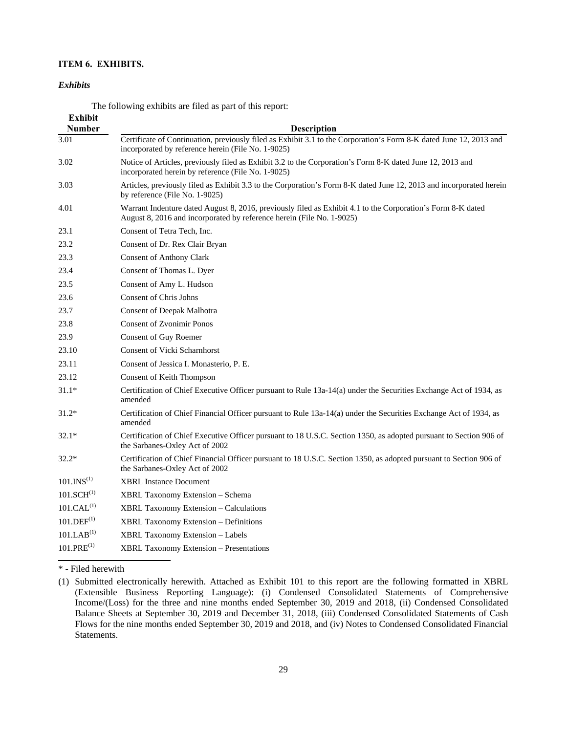## **ITEM 6. EXHIBITS.**

#### *Exhibits*

The following exhibits are filed as part of this report:

| <b>Exhibit</b>            |                                                                                                                                                                                      |
|---------------------------|--------------------------------------------------------------------------------------------------------------------------------------------------------------------------------------|
| <b>Number</b>             | <b>Description</b>                                                                                                                                                                   |
| 3.01                      | Certificate of Continuation, previously filed as Exhibit 3.1 to the Corporation's Form 8-K dated June 12, 2013 and<br>incorporated by reference herein (File No. 1-9025)             |
| 3.02                      | Notice of Articles, previously filed as Exhibit 3.2 to the Corporation's Form 8-K dated June 12, 2013 and<br>incorporated herein by reference (File No. 1-9025)                      |
| 3.03                      | Articles, previously filed as Exhibit 3.3 to the Corporation's Form 8-K dated June 12, 2013 and incorporated herein<br>by reference (File No. 1-9025)                                |
| 4.01                      | Warrant Indenture dated August 8, 2016, previously filed as Exhibit 4.1 to the Corporation's Form 8-K dated<br>August 8, 2016 and incorporated by reference herein (File No. 1-9025) |
| 23.1                      | Consent of Tetra Tech, Inc.                                                                                                                                                          |
| 23.2                      | Consent of Dr. Rex Clair Bryan                                                                                                                                                       |
| 23.3                      | <b>Consent of Anthony Clark</b>                                                                                                                                                      |
| 23.4                      | Consent of Thomas L. Dyer                                                                                                                                                            |
| 23.5                      | Consent of Amy L. Hudson                                                                                                                                                             |
| 23.6                      | Consent of Chris Johns                                                                                                                                                               |
| 23.7                      | <b>Consent of Deepak Malhotra</b>                                                                                                                                                    |
| 23.8                      | <b>Consent of Zvonimir Ponos</b>                                                                                                                                                     |
| 23.9                      | Consent of Guy Roemer                                                                                                                                                                |
| 23.10                     | <b>Consent of Vicki Scharnhorst</b>                                                                                                                                                  |
| 23.11                     | Consent of Jessica I. Monasterio, P. E.                                                                                                                                              |
| 23.12                     | Consent of Keith Thompson                                                                                                                                                            |
| $31.1*$                   | Certification of Chief Executive Officer pursuant to Rule 13a-14(a) under the Securities Exchange Act of 1934, as<br>amended                                                         |
| $31.2*$                   | Certification of Chief Financial Officer pursuant to Rule 13a-14(a) under the Securities Exchange Act of 1934, as<br>amended                                                         |
| $32.1*$                   | Certification of Chief Executive Officer pursuant to 18 U.S.C. Section 1350, as adopted pursuant to Section 906 of<br>the Sarbanes-Oxley Act of 2002                                 |
| $32.2*$                   | Certification of Chief Financial Officer pursuant to 18 U.S.C. Section 1350, as adopted pursuant to Section 906 of<br>the Sarbanes-Oxley Act of 2002                                 |
| $101.$ INS <sup>(1)</sup> | <b>XBRL Instance Document</b>                                                                                                                                                        |
| $101.SCH^{(1)}$           | XBRL Taxonomy Extension - Schema                                                                                                                                                     |
| 101.CAL <sup>(1)</sup>    | <b>XBRL Taxonomy Extension - Calculations</b>                                                                                                                                        |
| 101.DEF <sup>(1)</sup>    | <b>XBRL Taxonomy Extension - Definitions</b>                                                                                                                                         |
| 101.LAB <sup>(1)</sup>    | XBRL Taxonomy Extension - Labels                                                                                                                                                     |
| $101.PRE^{(1)}$           | <b>XBRL Taxonomy Extension - Presentations</b>                                                                                                                                       |

\* - Filed herewith

<sup>(1)</sup> Submitted electronically herewith. Attached as Exhibit 101 to this report are the following formatted in XBRL (Extensible Business Reporting Language): (i) Condensed Consolidated Statements of Comprehensive Income/(Loss) for the three and nine months ended September 30, 2019 and 2018, (ii) Condensed Consolidated Balance Sheets at September 30, 2019 and December 31, 2018, (iii) Condensed Consolidated Statements of Cash Flows for the nine months ended September 30, 2019 and 2018, and (iv) Notes to Condensed Consolidated Financial Statements.